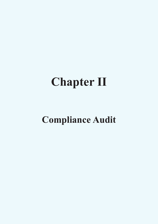# **Chapter II**

## **Compliance Audit**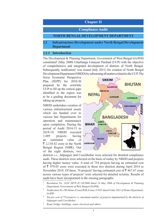## **Chapter II**

## **Compliance Audit**

## **NORTH BENGAL DEVELOPMENT DEPARTMENT**

#### **2.1 Infrastructure Development under North Bengal Development Department**

#### **2.1.1 Introduction**

The Development & Planning Department, Government of West Bengal (GoWB) constituted<sup>2</sup> (May 2000) Uttarbanga Unnayan Parshad (UUP) with the objective of comprehensive and integrated development of districts of North Bengal. Subsequently, notification<sup>3</sup> was issued (July 2011) for creation of North Bengal Development Department (NBDD) by subsuming all matters related to the UUP. The

Socio Economic Perspective Plan (SEPP) for 2010-20 prepared by the erstwhile UUP to fill up the critical gaps identified in the region was to be a guiding document for taking up projects.

NBDD undertakes creation of various infrastructural assets which are handed over to various line Departments for operation and maintenance upon completion. During the period of Audit 2014-15 to 2018-19, NBDD executed 1,489 projects having an estimated value of  $\bar{\xi}$  2,138.42 crore in the North Bengal Region (NBR). Out of the eight districts, two



districts *i.e*., Jalpaiguri and Coochbehar were selected for detailed compliance audit. These districts were selected on the basis of outlay by NBDD and projects having higher money value. A total of 754 projects having an estimated cost of  $\bar{\xi}$  979.05 crore were executed in these two districts during April 2014 to November 2018. Of these, 76 projects<sup>4</sup> having estimated cost of  $\bar{\mathfrak{F}}$  467.67 crore across various types of projects<sup>5</sup> were selected for detailed scrutiny. Results of audit have been incorporated in the ensuing paragraphs.

- <sup>4</sup> *Ten per cent of 754 projects i.e. maximum number of projects implemented by the districts of Jalpaiguri and Coochbehar.*
- <sup>5</sup> *Road, bridge, buildings, water, electrical and others.*

<sup>2</sup> *Resolution No. 1429/ DP/P-2C-10/2000 dated 18 May 2000 of Development & Planning Department, Government of West Bengal (GoWB).*

<sup>3</sup> *Notification No.198-Home (Cons)/R2R (Cons)-5/2011 dated 8 July 2011 of Home Department, GoWB.*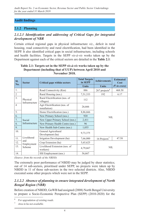## **Audit findings**

## **2.1.2 Planning**

## *2.1.2.1 Identification and addressing of Critical Gaps for integrated development of NBR*

Certain critical regional gaps in physical infrastructure *viz*., deficit in rural housing, road connectivity and rural electrification, had been identified in the SEPP. It also identified critical gaps in social infrastructure, including schools and health facilities. Targets in the SEPP *vis-à-vis* works taken up by the Department against each of the critical sectors are detailed in the **Table 2.1**:

| SI.<br>No.     | <b>Sector</b>              | <b>Critical gaps within sectors</b>            | <b>Total Targets</b><br>in SEPP | <b>Achievements</b>         | <b>Estimated</b><br>Cost     |  |
|----------------|----------------------------|------------------------------------------------|---------------------------------|-----------------------------|------------------------------|--|
|                |                            |                                                | <b>Units</b>                    | <b>Units</b>                | $(3 \nvert n \text{ error})$ |  |
| 1.             |                            | Road Connectivity (Km)                         | 886                             | $267$ projects <sup>6</sup> | 468.50                       |  |
| $\overline{2}$ |                            | Rural Housing (nos.)                           | 7,51,333                        | 192                         | 6.17                         |  |
| 3.             | Physical<br>Infrastructure | Rural Electrification (nos. of<br>villages)    | 112                             |                             |                              |  |
| $\overline{4}$ |                            | Agri Electrification (nos. of<br>installation) | 26,666                          |                             |                              |  |
| 5.             |                            | Home Electrification (nos.)                    | 8,86,666                        |                             |                              |  |
| 6.             |                            | New Primary School (nos.)                      | 920                             | <b>NIL</b>                  |                              |  |
| 7.             | Social                     | New Upper Primary School (nos.)                | 2,411                           |                             |                              |  |
| 8.             | Infrastructure             | New Primary Health Centre (nos.)               | 96                              |                             |                              |  |
| 9.             |                            | New Health Sub-Centre (nos.)                   | 1,055                           |                             |                              |  |
| 10.            |                            | General Agricultural<br>Development (ha)       | 9,73,375                        |                             |                              |  |
| 11.            | Livelihood                 | Irrigation Development (ha)                    | 7,66,000                        | 16 Projects <sup>7</sup>    | 47.58                        |  |
| 12.            | and<br>Employment          | Crop Extension (ha)                            | 5,65,625                        |                             |                              |  |
| 13.            | Scheme                     | Livelihood Extension (nos. of<br>workers)      | 4,79,667                        | <b>NIL</b>                  |                              |  |
| 14.            |                            | SSI Employment (nos.)                          | 56,667                          |                             |                              |  |

#### **Table 2.1: Targets set in the SEPP** *vis-à-vis* **works taken up by the Department (including that of UUP) between April 2010 and November 2018.**

*(Source: from the records of the NBDD)* 

The extremely poor performance of NBDD may be judged by sheer statistics; out of 14 sub-sectors, prioritised under SEPP, no projects were taken up by NBDD in 11 of those sub-sectors in the two selected districts. Also, NBDD executed some other projects which were not in the SEPP.

## *2.1.2.2 Absence of planning to ensure integrated development of North Bengal Region (NBR)*

Before creation of NBDD, GoWB had assigned (2008) North Bengal University to prepare a Socio-Economic Perspective Plan (SEPP) (2010-2020) for the

<sup>6</sup> *For upgradation of existing roads.*

<sup>7</sup> *Area in ha not available.*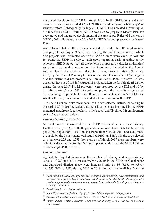integrated development of NBR through UUP. In the SEPP, long and short term schemes were included (April 2010) after identifying critical gaps<sup>8</sup> in various sectors. Subsequently, in July 2011, NBDD was created subsuming all the functions of UUP. Further, NBDD was also to prepare a Master Plan for accelerated and integrated development of the area as per Rules of Business of NBDD, 2011. However, as of May 2019, NBDD had not prepared any Master Plan.

Audit found that in the districts selected for audit, NBDD implemented 754 projects valuing  $\bar{\xi}$  979.05 crore during the audit period out of which 532 projects with estimated cost of  $\bar{\tau}$  553.43 crore were executed without following the SEPP. In reply to audit query regarding basis of taking up the schemes, NBDD stated that all the schemes proposed by district authorities<sup>9</sup> were taken up on the presumption that those were included in the Annual Action Plan of the concerned districts. It was, however, stated (February 2019) by the District Planning Officer of one test checked district (Jalpaiguri) that the district did not prepare any Annual Action Plan. Moreover, it was observed that out of 118 infrastructural projects taken up for Jalpaiguri district during the year 2017-18, 12 projects<sup>10</sup> were proposed by the DM and 10 by the Minister-in-Charge. NBDD could not provide the basis for selection of the remaining 96 projects. Further, there was no mechanism in NBDD to see whether the proposals received from districts were in line with SEPP.

The Socio-Economic statistical data<sup>11</sup> of the two selected districts pertaining to the period 2010-2017 revealed that the critical gaps as identified in the SEPP remained unaddressed, particularly in the 'social' and 'livelihood & employment sectors' as discussed below:

## *Primary health infrastructure*

National norms<sup>12</sup> considered in the SEPP stipulated at least one Primary Health Centre (PHC) per 30,000 population and one Health Sub-Centre (HSC) per 5,000 population. Based on the Population Census 2011 and data made available by the Department, total required PHCs and HSCs in the two selected districts were 223 and 1,338; however, as of March 2017 these numbers were only 87 and 950, respectively. During the period under audit the NBDD did not create a single PHC or HSC.

## *Primary education*

Against the targeted increase in the number of primary and upper-primary schools of 920 and 2,411, respectively by 2020 in the SEPP, in Coochbehar and Jalpaiguri districts those were increased only by 36 (3,855 to 3,891) and 393 (160 to 553), during 2010 to 2018; no data was available from the

<sup>8</sup> *Physical infrastructure viz., deficit in rural housing, road connectivity, rural electrification and social infrastructure, including schools and health facilities. Besides, the SEPP highlighted the need to support livelihood development in several blocks where livelihood opportunities were critically constrained.*

<sup>9</sup> *District Magistrates, MLAs and MPs.*

<sup>10</sup> *Total 28 projects out of which 17 projects were clubbed together as single project.*

<sup>11</sup> *Bureau of Applied Economics and Statistics (August 2019) furnished data for 2010-2017.*

<sup>12</sup> *Indian Public Health Standards Guidelines for Primary Health Centres and Health Sub-Centres.*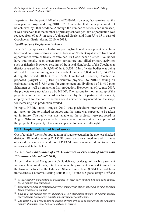Department for the period 2018-19 and 2019-20. However, fact remains that the slow pace of progress during 2010 to 2018 indicated that the targets could not be achieved by 2020 deadline. Although the number of schools had increased, it was observed that the number of primary schools per lakh of population was reduced from 60 to 54 in case of Jalpaiguri district and from 75 to 65 in case of Coochbehar district during 2010 to 2018.

## *Livelihood and Employment scheme*

In the SEPP, emphasis was laid on supporting livelihood development in the farm based and non-farm sectors in several blocks of North Bengal where livelihood opportunities were critically constrained. In Coochbehar district, livelihoods have traditionally been drawn from agriculture and allied primary activities such as fisheries. However, scrutiny of Statistical Handbooks of the Coochbehar district revealed that only 3,206.62 ha to 3,231.12 ha of water bodies was being utilised for pisciculture against the available area of 6,084.06 to 6,164.22 ha during the period 2013-14 to 2015-16. Director of Fisheries, Coochbehar proposed (August 2016) two pisciculture projects<sup>13</sup> to NBDD having an estimated value of  $\bar{\tau}$  7.59 crore for employment and livelihood of 11,939 poor fishermen as well as enhancing fish production. However, as of August 2019, the projects were not taken up by NBDD. The reasons for not taking up of the projects were neither on record nor furnished by the Department. As a result, employment for the poor fishermen could neither be augmented nor the scope for increasing fish production availed.

In reply, NBDD stated (August 2019) that pisciculture interventions were not taken up due to limited resources and the same was expected to be taken up in future. The reply was not tenable as the projects were proposed in August 2016 and as per available records no action was taken for approval of the projects. The paucity of resources appears to be an afterthought.

## **2.1.3 Implementation of Road works**

Out of total 267 works for upgradation of roads executed in the two test checked districts, 18 works valuing  $\bar{\tau}$  155.81 crore were examined in audit. It was observed that excess expenditure of  $\bar{\tau}$  13.64 crore was incurred due to various reasons as detailed below:

## *2.1.3.1 Non-compliance of IRC Guidelines in execution of roads with Bituminous Macadam14 (BM)*

As per Indian Road Congress (IRC) Guidelines, for design of flexible pavement for low volume rural roads, total thickness of the pavement is to be determined on the basis of factors like the Estimated Standard Axle Load (ESAL) derived from traffic census, California Bearing Ratio  $(CBR)^{15}$  of the sub grade, design life<sup>16</sup> and

<sup>13</sup> (i) *Eco-friendly management of pisciculture in beel/ baor through pen and cage culture. (ii) 25 number beel renovation.*

<sup>14</sup> *Road surface made of compressed layers of small broken stones, especially one that is bound together with tar or asphalt.*

<sup>15</sup> *CBR is a penetration test for evaluation of the mechanical strength of natural ground, subgrades and base courses beneath new carriageway construction.*

<sup>16</sup> *The design life of a road is defined in terms of years arrived at by considering the cumulative number of standard axles (vehicles) that can be carried.*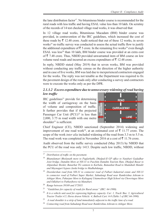the lane distribution factor<sup>17</sup>. No bituminous binder course is recommended for the rural roads with less traffic and having ESAL value less than 10 lakh. On scrutiny of the records of 14 test checked village road works, it was observed that:

In 12 village road works, Bituminous Macadam (BM) binder course was provided, in contravention of the IRC guidelines, which increased the cost of these roads by  $\bar{\tau}$  12.48 crore. Audit noticed that out of these 12 works, in seven works<sup>18</sup> no traffic survey was conducted to assess the actual traffic flow to justify the additional expenditure of  $\bar{\tau}$  5 crore. In the remaining five works<sup>19</sup> even though ESAL was less<sup>20</sup> than 10 lakh, BM binder course was provided at an extra cost of  $\bar{\tau}$  7.48 crore. Thus, NBDD provided unwarranted item of BM course on low volume rural roads and incurred an excess expenditure of  $\bar{\tau}$  12.48 crore.

In reply, NBDD stated (May 2019) that in seven works, BM was provided without conducting any traffic census on the direction of the higher authority and in case of five works, BM was laid due to inexperienced contractors engaged for the works. The reply was not tenable as the Department was required to fix the pavement design of the roads only after conducting a survey and contractors were to execute the works only as per the DPR.

## *2.1.3.2 Excess expenditure due to unnecessary widening of road having low traffic*

IRC guidelines<sup> $21$ </sup> provide for determining the width of carriageway on the basis of volume and composition of traffic. It further provides that if the projected Passenger Car Unit  $(PCU)^{22}$  is less than 2,000, 3.75 m road width with one metre shoulder<sup>23</sup> is sufficient.



Chief Engineer (CE), NBDD sanctioned (September 2014) widening and improvement of one road work<sup>24</sup>, at an estimated cost of  $\bar{\tau}$  11.77 crore. The scope of the work *inter alia* included widening of the road from 3.3 m to 5.5 m. The road work was completed in November 2016 at a cost of  $\bar{\tau}$  11.76 crore.

Audit observed from the traffic survey conducted (May 2013) by NBDD that the PCU of the road was only 1413. Despite such low traffic, NBDD, without

<sup>21</sup> *"Guidelines for capacity of roads for Rural areas" (IRC: 64-1990).*

- <sup>23</sup> *A road shoulder is a strip of land immediately adjacent to the traffic lane of a road.*
- <sup>24</sup> *Connecting road from Sahudangi Road near Ramkrishna Ashram to Ashigar More.*

<sup>17</sup> *Distribution of traffic on the pavement.*

<sup>18</sup> *Bhanulumari Bholanath more to Paglarkuthi, Dhalpal-II GP office to Natabari Gadadhar Joist bridge, Damdim More at NH-31 to Paschim Damdim Tourism Huts, Dhalpal Bazar to Alipurduar Border, Banarhat TG canteen to Karbala, Bamanhat Road to Madaikali Mandir and Maynaguri bypass Jarda bridge to Madhabdanga.*

<sup>19</sup> *Doordarshan road from NH-31 to connector road of Fulbari Industrial estate and NH-31 to connector road of Fulbari Super Market, Sahudangi Road near Ramkrishna Ashram to Ashigar More, Paharpur More to Kaliaganj Uttameshwar High School via Chowringee More and Odlabari to Patharjhora via Manabari.*

<sup>20</sup> *Range between 39169 and 372035.*

<sup>22</sup> *It is a vehicle unit used for expressing highway capacity. Car: 1, Truck/ Bus: 3, Agricultural Tractor Trailer:4.5, Horse drawn Vehicle: 4, Bullock Cart: 6-8 (Table 1 of IRC:64-1990).*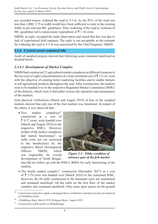any recorded reason, widened the road to 5.5 m. As the PCU of the road was less than 2,000, 3.75 m width would have been sufficient to cater to the existing traffic as per relevant IRC guidelines. Thus, widening of the road in violation of IRC guidelines led to unnecessary expenditure of ₹ 1.16 crore.

NBDD, in reply, accepted the audit observation and stated that this was due to lack of experienced field engineer. The reply is not acceptable as the estimate for widening the road to 5.5 m was sanctioned by the Chief Engineer, NBDD.

## **2.1.4 Created assets remained idle**

Audit of sampled projects showed that following assets remained unutilised as detailed below:

## *2.1.4.1 Development of Market Complex*

NBDD had constructed 23 agricultural market complexes at different locations in the two (out of eight) selected districts at a total estimated cost of  $\bar{z}$  121.61 crore with the objective of creating better marketing facilities and to enable farmers to sell agricultural products throughout the year. After construction, the markets were to be handed over to the respective Regulated Market Committees (RMC) of the districts, which were to thereafter oversee the operation and maintenance of the markets.

Joint physical verifications (March and August 2019) of four of the sampled markets showed that only one of the four markets was functional. In respect of the others, it was observed that:

• Two market complexes<sup>25</sup> constructed at a cost of  $\bar{\xi}$  6.37 crore, were handed over (March and August 2018) to the respective RMCs. However, neither of the market complexes had started functioning<sup>26</sup>, as stalls were not yet auctioned to the beneficiaries by the respective Block Development Officers. NBDD, which was responsible for overall development of North Bengal,



*Figure 2.1: Filthy condition of entrance gate of the fish market*

also did not follow up with the RMCs/ BDOs for early functioning of the markets.

• The fourth market complex<sup>27</sup> constructed (December 2017) at a cost of  $\bar{\tau}$  3.70 crore was handed over (March 2018) to the concerned RMC. However, the 68 stalls constructed in the basement were not maintained and remained unutilised. All the stalls on the first floor of the market complex also remained unutilised. Only some open spaces on the ground

<sup>25</sup> *Construction of market complex at Kaliganj Bazar at Suktabari and infrastructure development of Chilakhana Haat.*

<sup>26</sup> *Chilakhana Haat: March 2019, Kaliganj Bazar: August 2019.*

<sup>27</sup> *Construction of fish market at Mathabhanga.*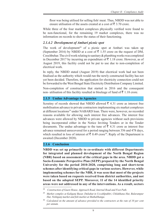floor was being utilised for selling fish/ meat. Thus, NBDD was not able to ensure utilisation of the assets created at a cost of  $\bar{\xi}$  3.70 crore.

While three of the four market complexes physically verified were found to be non-functional, for the remaining 19 market complexes, there was no information on records to show the status of their functioning.

## *2.1.4.2 Development of Ambari picnic spot*

The work of development<sup>28</sup> of a picnic spot at Ambari was taken up (September 2016) by NBDD at a cost of  $\bar{\tau}$  1.55 crore on the request of DM, Coochbehar. The civil work relating to sanitary & plumbing works was completed in December 2017 by incurring an expenditure of  $\bar{\tau}$  1.18 crore. However, as of August 2019, this facility could not be put to use due to non-completion of electrical work.

In reply, the NBDD stated (August 2019) that electrical work had not been finalised as the authority which would run the newly constructed facility has not yet been decided. Therefore, the application for electricity connection could not be forwarded to the West Bengal State Electricity Distribution Company Limited.

Non-completion of construction that started in 2016 and the consequent non- utilisation of this facility resulted in blockage of fund of  $\bar{\tau}$  1.18 crore.

## **2.1.5 Undue Advantage to Agencies**

Scrutiny of records showed that NBDD allowed  $\bar{\tau}$  4.31 crore as interest free mobilisation advance to private contractors implementing six market complexes at different locations<sup>29</sup> under NABARD loan. There were, however, no recorded reasons available for allowing such interest free advances. The interest free advances were allowed by NBDD to private agencies without such provisions being incorporated either in the Notice Inviting Tenders or in the Tender documents. The undue advantage to the tune of  $\bar{\tau}$  4.31 crore as interest free advance remained unrecovered for a period ranging between 356 and 478 days, which resulted in loss of interest of  $\bar{\tau}$  0.49 crore<sup>30</sup>. Reply of the Department is awaited (December 2020).

## **2.1.6 Conclusion**

**NBDD was set up primarily to co-ordinate with different Departments for integrated and planned development of the North Bengal Region (NBR) based on assessment of the critical gaps in the area. NBDD got a Socio-Economic Perspective Plan (SEPP) prepared by the North Bengal University for the period 2010-2020, comprising long and short-term schemes after identifying critical gaps in various sectors. However, while implementing schemes for the NBR, it was seen that most of the projects were taken based on requests received from district authorities, and not based on the adopted SEPP. Moreover, 11 of the 14 identified priority areas were not addressed in any of the interventions. As a result, sectors** 

<sup>28</sup> *Construction of Guest House, Approach Road, Internal Road and Foot Path.*

<sup>29</sup> *Market complex at Kaliganj Bazar, Duliahat in Uccahlpukhri, Chilakhana Hat, Balarampur Hat, Nishiganj market and fish market at Mathabhanga.*

<sup>30</sup> *Calculated on the amount of advance provided to the contractors at the rate of 10 per cent per annum.*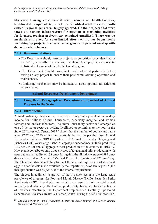**like rural housing, rural electrification, schools and health facilities, livelihood development etc., which were identified in SEPP as those with critical regional gaps were largely ignored. Of the projects that were taken up, various infrastructure for creation of marketing facilities for farmers, tourism projects,** *etc***. remained unutilised. There was no mechanism in place for co-ordinated efforts with other Departments for taking up projects to ensure convergence and prevent overlap with departmental schemes.**

## **2.1.7 Recommendations**

- The Department should take up projects as per critical gaps identified in the SEPP, especially in social and livelihood  $\&$  employment sectors for holistic development of the North Bengal Region.
- The Department should co-ordinate with other departments before taking up any project to ensure their post-commissioning operation and maintenance.
- Monitoring mechanism may be initiated to assess optimal utilisation of assets created.

## **Animal Resources Development Department**

## **2.2 Long Draft Paragraph on Prevention and Control of Animal Diseases in the State**

## **2.2.1 Introduction**

Animal husbandry plays a critical role in providing employment and secondary income for millions of rural households, especially marginal and women farmers and landless labourers. The animal husbandry sector had emerged as one of the major sectors providing livelihood opportunities to the poor in the State.  $20^{th}$  Livestock Census  $2019^{31}$  shows that the number of poultry and cattle were 77.32 and 37.43 million, respectively. Further, as per the Basic Animal Husbandry Statistics 2019 (Department of Animal Husbandry Dairying and Fisheries, GoI), West Bengal is the 3<sup>rd</sup> largest producer of meat in India producing 10.3 *per cent* of annual aggregate meat production of the country in 2018-19. However, it contributes only three *per cent* of total annual milk production, with a per capita availability of 158 gms/ day against the all India average of 394 gms/ day and the Indian Council of Medical Research stipulation of 220 gms/ day. The State had also been failing to meet the internal requirement of meat and eggs. As per the data made available by the Department, as of January 2015, the meat production was 63 *per cent* of the internal requirement.

The biggest impediment to growth of the livestock sector is the large scale prevalence of diseases like Foot and Mouth Disease (FMD), Peste des Petits Ruminants (PPR), Brucellosis, *etc.* which may result in both morbidity and mortality, and adversely affect animal productivity. In order to tackle the health of livestock effectively, the Department implemented Centrally Sponsored Schemes for Livestock Health  $\&$  Disease Control during the 12<sup>th</sup> Five Year Plan.

<sup>31</sup> *The Department of Animal Husbandry & Dairying under Ministry of Fisheries, Animal Husbandry & Dairying, GoI.*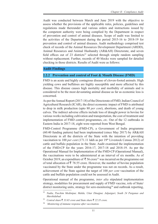Audit was conducted between March and June 2019 with the objective to assess whether the provisions of the applicable rules, policies, guidelines and regulations made thereunder and various orders and instructions issued by the competent authority were being complied by the Department in respect of prevention and control of animal diseases. Scope of audit was limited to the activities of the Department during the period 2015-16 to 2018-19 for prevention and control of animal diseases. Audit methodology comprised test check of records of the Animal Resources Development Department (ARDD), Animal Resources and Animal Husbandry (AR&AH) Directorate, and seven field offices out of 23 districts<sup>32</sup> selected through simple random sampling without replacement. Further, records of 40 blocks were sampled for detailed checking in those districts. Results of Audit were as follows:

## **Audit Findings**

## **2.2.2 Prevention and control of Foot & Mouth Disease (FMD)**

FMD is an acute and highly contagious disease of cloven-footed animals. High yielding cows and buffaloes are highly susceptible and more affected by this disease. This disease causes high mortality and morbidity of animals and is considered to be the most devastating animal disease as far as economic loss is concerned.

As per the Annual Report (2017-18) of the Directorate of FMD, Indian Council of Agricultural Research (ICAR), the direct economic impact of FMD is attributed to drop in milk production (upto 80 *per cent*), abortions, and death of young calves. The indirect adverse effects include loss of draught power in bovine for various works including cultivation and transportation, the cost of treatment and implementation of FMD control programmes, *etc*. Out of the 12 outbreaks in Eastern India in 2017-18, eight were reported from West Bengal.

FMD-Control Programme (FMD-CP), a Government of India programme (60:40 funding pattern) had been implemented (since May 2017) by AR&AH Directorate in all the districts of the State with the intention of providing vaccination to 100 *per cent* (171.11 lakh as per 19<sup>th</sup> Livestock Census 2012) of cattle and buffalo population in the State. Audit examined the implementation of the FMD-CP for the years 2016-17, 2017-18 and 2018-19. As per the Operational Manual for Implementation of the FMD-CP (Operational Manual), the vaccinations were to be administered at an interval of six months. As of October 2019, an expenditure of  $\bar{\tau}$  56 crore<sup>33</sup> was incurred on the programme out of total allocation of  $\bar{\tau}$  78.55 crore. However, the number of bovine population vaccinated by the State under the programme was not on records. As a result, achievement of the State against the target of 100 *per cent* vaccination of the cattle and buffalo population could not be assessed in Audit.

Operational manual of the programme, *inter alia* stipulated implementation strategy, modalities for procurement and supply of FMD vaccine, role of State/ district monitoring units, strategy for sero-monitoring<sup>34</sup> and outbreak reporting,

<sup>32</sup> *Nadia, Paschim Medinipur, Malda, Uttar Dinajpur, Jalpaiguri, South 24 Parganas and Murshidabad.*

<sup>33</sup> *Central share* ` *33.65 crore and State share* ` *22.35 crore.*

<sup>34</sup> *Monitoring of immune response after vaccination.*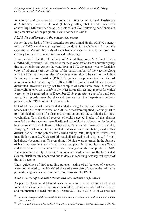its control and containment. Though the Director of Animal Husbandry & Veterinary Sciences claimed (February 2019) that GoWB has been conducting FMD vaccination as per protocols of GoI, following deficiencies in implementation of the programme were noticed in Audit:

## *2.2.2.1 Non-adherence to the potency test norms*

As per the standards of World Organisation for Animal Health (OIE)<sup>35</sup>, potency tests of FMD vaccine are required to be done for each batch. As per the Operational Manual five vials of each batch of vaccine were to be tested for efficacy from a Government recognised Laboratory.

It was noticed that the Directorate of Animal Resources & Animal Health (DAR&AH) procured FMD vaccines for mass vaccination from a private agency through e-tendering. As per the conditions of NIT, the agency was to furnish a copy of laboratory test certificate of the batch number of the vaccine along with the bills. Further, samples of vaccines were also to be sent to the Indian Veterinary Research Institute (IVRI), Bengaluru, for potency test. Scrutiny of records indicated that during 2017-18 and 2018-19, vaccines of 24 batches were distributed. However, as against five samples of each batch, only 16 samples from eight batches were sent<sup>36</sup> to the IVRI for quality testing, reports for which were yet to be received as of December 2019 even after a gap of around two years. No records were found to substantiate that the Department actively pursued with IVRI to obtain the test results.

Out of 24 batches of vaccines distributed among the selected districts, three batches of 5,813 vials for a total of 2,90,650 doses were supplied (February 2017) to Murshidabad district for further distribution among the 26 blocks for mass vaccination. Test check of records of eight selected blocks of this district revealed that the vaccines were distributed to the blocks without mentioning the batch number in the challans. In May 2017, Department of Animal Husbandry, Dairying & Fisheries, GoI, circulated that vaccines of one batch, used in this district, had failed the potency test carried out by IVRI, Bengaluru. It was seen in audit that out of 2,200 vials of this batch distributed in this district, 2,010 vials had already been utilised. The remaining 190 vials were returned. In the absence of batch number in the challans, it was not possible to monitor the efficacy and effectiveness of the vaccines used, leaving animals susceptible to FMD. The concerned Deputy Director, Murshidabad, while accepting the fact, stated (March 2019) that this occurred due to delay in receiving potency test report of the said vaccine.

Thus, guidelines of GoI regarding potency testing of all batches of vaccines were not adhered to, which risked the entire exercise of vaccination of cattle population against a severe and infectious disease like FMD.

#### *2.2.2.2 Norms of intervals between two vaccinations not followed*

As per the Operational Manual, vaccinations were to be administered at an interval of six months, which was essential for effective control of the disease and maintenance of herd immunity. During 2017-18 to 2018-19, it was noticed

<sup>35</sup> An *inter governmental organisation for co-ordinating, supporting and promoting animal disease control.*

<sup>36</sup> *14 samples from six batches in 2017-18 and two samples from two batches in the year 2018- 19.*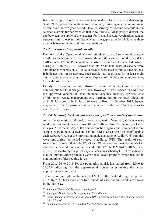from the supply records of the vaccines to the selected districts that except South 24 Parganas, vaccinations were done only thrice against the requirement of four over the two-year period. Detailed scrutiny of vaccine schedule in the selected districts further revealed that in four blocks $37$  of Jalpaiguri district, the gap between the supply of the vaccines for first and second vaccinations ranged between nine to eleven months, whereas the gap was only 13 days to three months between second and third vaccinations.

## *2.2.2.3 Re-use of disposable needles*

Para 6.4 of the Operational Manual stipulated use of separate disposable needle for each animal for vaccination though the syringes could be used for 5-10 animals. FMD-CP vaccination records of 32 blocks in the selected districts during 2017-18 to 2018-19 showed that total 55.06 lakh doses of vaccine were administered whereas only 7.86 lakh needles were used for those vaccinations. It indicates that on an average, each needle had been used for at least eight animals, thereby increasing the scope of spread of infection and compromising the health of livestock.

Deputy Directors of the four districts<sup>38</sup> admitted the fact and attributed non-compliance to shortage of funds. However, it was noticed in audit that the approved vaccination cost included vaccines, needles, syringes cost of biological waste management *etc*. Further, out of the total allocation of  $\bar{\xi}$  78.55 crore, only  $\bar{\xi}$  56 crore were utilised till October 2019, hence, negligence of the Department rather than non-availability of funds appears to have been the reason.

## *2.2.2.4 Immunity level not improved even after three rounds of vaccination*

As per the Operational Manual, prior to vaccination Veterinary Officer was to send 10 serum samples each from cattle and buffaloes from 10 randomly selected villages. After the  $30<sup>th</sup>$  day of the first vaccination, again equal number of serum samples were to be collected and sent to IVRI to assess the titre level<sup>39</sup> against each serotype<sup>40</sup>. As per the information made available to Audit,  $9,467$  samples were sent during the period covered in audit, to IVRI. The results of serosurveillance showed that only 42, 23 and 29 *per cent* vaccinated animals had attained the desired titre level at the end of the FMD-CP 2016-17, 2017-18 and 2018-19, respectively as against 75 *per cent* as prescribed by OIE. This indicated that the immunisation protocols were not followed properly, which resulted in non-attaining of desired titre levels.

From 2015-16 to 2018-19, the population at risk has varied from 2,040 to 54,573 indicating that the departmental figures in estimating the actual population was unreliable.

There were multiple outbreaks of FMD in the State during the period 2015-16 to 2018-19 even after four rounds of vaccination; details are shown in the **Table 2.2**.

<sup>37</sup> *Jalpaiguri Sadar, Mal, Maynaguri and Rajganj.*

<sup>38</sup> *Jalpaiguri, Malda, South 24 Parganas and Uttar Dinajpur.*

<sup>39</sup> *Cattle maintain protective level against FMD if protective antibody titre of serum sample is ≥ 1.8 log 10.*

<sup>40</sup> *In India three serotype* (*O, A and Asia-I) of FMD virus are prevalent.*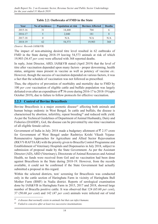| Year    | No of incidence | <b>Population at risk</b> | <b>Bovines Affected</b> | <b>Deaths</b> |
|---------|-----------------|---------------------------|-------------------------|---------------|
| 2015-16 |                 | 14.440                    | 704                     |               |
| 2016-17 |                 | 2,040                     | 181                     |               |
| 2017-18 |                 | N/A                       | N/A                     | N/A           |
| 2018-19 |                 | 54,573                    | 19,903                  | 368           |

**Table 2.2: Outbreaks of FMD in the State**

*(Source: Records IAH&VB)*

The impact of non-attaining desired titre level resulted in 62 outbreaks of FMD in the State during 2018-19 leaving 54,573 animals at risk of which 19,903 (36.47 *per cent)* were affected with 368 reported deaths.

In reply, Joint Director, ARD, IAH&VB stated (April 2019) that the level of titre after vaccination depended upon many factors - proper deworming, health status, antigenic mass present in vaccine as well as potency of vaccine *etc*. However, though the success of vaccination depended on various factors, it was a fact that the schedule of vaccination was not followed as prescribed.

Thus, the objective of prevention of morbidity and mortality due to FMD by 100 *per cent* vaccination of eligible cattle and buffalo population was largely defeated even after an expenditure of  $\overline{5}$  56 crore during 2016-17 to 2018-19 (upto October 2019), due to failure to follow protocols for effective vaccination.

## **2.2.3 Control of Bovine Brucellosis**

Bovine Brucellosis is a major zoonotic disease<sup>41</sup> affecting both animals and human beings endemic in West Bengal. In cattle and buffalo, the disease is characterised by abortion, infertility, repeat breeding<sup>42</sup> and reduced milk yield. As per the Technical Guidelines of Department of Animal Husbandry, Dairy and Fisheries (DAHDF), GoI, the disease can be prevented by one-time vaccination of all eligible female calves.

Government of India in July 2018 made a budgetary allotment of  $\bar{\tau}$  2.57 crore for Government of West Bengal under Rashtriya Krishi Vikash Yojana-Remunerative Approaches for Agriculture and Allied Sector Rejuvenation (RKVY-RAFTAAR) with the priority given to Brucella Control Programme and Establishment of Veterinary Hospitals and Dispensaries in July 2018, subject to submission of proposal made by the State Government. As per the Assistant Director (AD), ARD (Veterinary), Directorate of Animal Resources and Animal Health, no funds were received from GoI and no vaccination had been done against Brucellosis in the State during 2018-19. However, from the records available, it could not be confirmed if the State Government had actually submitted a proposal in this regard.

Within the selected districts, test/ screening for Brucellosis was conducted only in the cattle section of Haringhata Farm in vicinity of Haringhata Bull Mother Farm (BMF) in Nadia district. Reports of serological examination done by IAH&VB in Haringhata Farm in 2015, 2017 and 2018, showed large number of Brucella positive cattle. It was observed that 124 (65.60 *per cent*), 37 (50.68 *per cent*) and 142 (47 *per cent*) animals were infected out of total

<sup>41</sup> *A disease that normally exists in animals but that can infect humans.*

<sup>42</sup> *Failed to conceive after at least two successive inseminations.*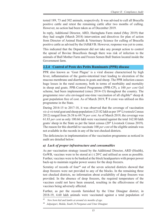tested 189, 73 and 302 animals, respectively. It was advised to cull all Brucella positive cattle and retest the remaining cattle after two months of culling. However, no action had been taken as of December 2019.

In reply, Additional Director, ARD, Haringhata Farm stated (May 2019) that they had sought (March 2018) intervention and directives for plan of action from Director of Animal Health & Veterinary Science for culling of Brucella positive cattle as advised by the IAH&VB. However, response was yet to come.

This indicated that the Department did not take any prompt action to control the spread of Bovine Brucellosis though there was risk of infection to the animals of Bull Mother Farm and Frozen Semen Bull Station located inside the Government farm.

## **2.2.4 Control of Peste des Petits Ruminants (PPR) disease**

PPR also known as 'Goat Plague' is a viral disease characterised by high fever, inflammation of the gastro-intestinal tract leading to ulceration of the mucous membrane and diarrhoea in goats and sheep. The PPR infection causes huge losses in the rural economy, both in terms of morbidity and mortality in sheep and goats. PPR-Control Programme (PPR-CP), a 100 *per cent* GoI scheme, had been implemented (since 2014-15) throughout the country. The programme *inter alia* envisaged one-time vaccination of all eligible<sup>43</sup> sheep  $\&$ goat population free of cost. As of March 2019,  $\bar{\tau}$  8 crore was utilised on this programme in the State.

During 2014-15 to 2017-18, it was observed that the coverage of vaccination *vis-à-vis* total goat and sheep population (125.82 lakh as per 19<sup>th</sup> Livestock Census 2012) ranged from 26.58 to 69.74 *per cent*. As of March 2019, the coverage was 61.83 *per cent* as only 100.66 lakh were vaccinated against the total 162.80 lakh goats/ sheep in the State as per the latest census (20th Livestock Census 2019). The reason for this shortfall to vaccinate 100 *per cent* of the eligible animals was not available in the records in any of the test checked districts.

The deficiencies in implementation of the vaccination programme as noticed in audit are detailed below:

## *a) Lack of proper infrastructure and consumables*

As per vaccination strategy issued by the Additional Director, ARD (Health), GoWB, vaccines were to be stored at  $(-)$  20 $\degree$ C and utilised as soon as possible. Further, vaccines were to be banked at the block headquarters with proper power back-up to maintain regular power source for the deep freezers.

Scrutiny of records of four<sup>44</sup> out of the seven selected districts showed that deep freezers were not provided to any of the blocks. In the remaining three test checked districts, no information about availability of deep freezers was provided. In the absence of deep freezers, the required temperature of the vaccines could not have been ensured, resulting in the effectiveness of the vaccines being adversely affected.

Further, as per the records furnished by the Uttar Dinajpur district, in 2018-19, 4.60 lakh animals were vaccinated against a total population of

<sup>43</sup> *New born kid and lambs at around six months of age.*

<sup>44</sup> *Jalpaiguri, Malda, South 24 Parganas and Uttar Dinajpur.*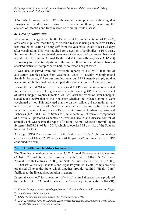5.76 lakh. However, only 1.12 lakh needles were procured indicating that syringes and needles were re-used for vaccination, thereby increasing the chances of infection and transmission of communicable diseases.

## *b) Lack of monitoring*

Vaccination strategy issued by the Department for implementation of PPR-CP, *inter alia* stipulated monitoring of vaccine response using competitive ELISA test through collection of samples<sup>45</sup> from the vaccinated goats at least 21 days after vaccination. This was required for detection of antibodies to PPR virus. Serum samples from vaccinated goats were to be obtained on random basis and tested in the Institute of Animal Health and Veterinary Biologicals (IAH&VB) Laboratory for the antibody status of the animal. It was observed that in two test checked districts<sup>46</sup>, samples were neither collected nor got tested.

It was also observed from the available reports of IAH&VB that out of 273 serum samples taken from vaccinated goats in Paschim Medinipur and South 24 Parganas, 117 serum samples were found PPR negative implying that necessary antibodies had not developed after vaccination in 43 *per cent* cases.

During the period 2015-16 to 2018-19, a total 214 PPR outbreaks were reported in the State in which 2,378 goats were infected causing 486 deaths. In respect of Uttar Dinajpur, Deputy Director, ARD & Parishad Officer of Uttar Dinajpur, stated (June 2019) that it was not clear whether the infected animals were vaccinated or not. This indicated that the district officer did not maintain any health card recording detail of vaccination which was required to be maintained as per the Technical Guidelines of Department of Animal Husbandry, Dairy and Fisheries (DAHDF), GoI to States for implementation of various components of Centrally Sponsored Schemes on livestock health and disease control of animals. This was despite the report of National Animal Disease Referral Expert System (NADRES) of July 2019, which categorised 14 districts of the State as high risk for PPR.

Although PPR-CP was introduced in the State since 2015-16, the vaccination coverage as of March 2019, was only 61.83 *per cent*47 and incidences of PPR continued to occur.

## **2.2.5 Health care facilities for animals**

The State has an elaborate network of 2,652 Animal Development Aid Centres (ADAC), 271 Additional Block Animal Health Centres (ABAHC), 339 Block Animal Health Centres (BAHC), 92 State Animal Health Centres (SAHC), 10 District Veterinary Hospitals and eight Polyclinics. Health camps are also organised all over the State, which together provide required "Health Care" facilities to the livestock population in general.

Essential vaccines<sup>48</sup> for prevention of critical animal diseases were produced by the Institute of Animal Husbandry & Veterinary Biologicals (IAH&VB),

<sup>45</sup> *From at least five numbers of villages from each district at the rate of 30 samples per village.*

<sup>46</sup> *Jalpaiguri and Uttar Dinajpur.*

<sup>&</sup>lt;sup>47</sup> *Of the sheep/ goat population as per 20<sup>th</sup> livestock census 2019.* 

<sup>48</sup> *Total 13 vaccines like PPR, Anthrax, Haemorrogic Septicemia, Black Quarter, Goat Pox etc. except FMD which is centrally procured.*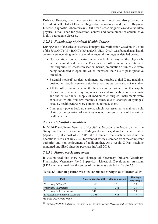Kolkata. Besides, other necessary technical assistance was also provided by the IAH & VB, District Disease Diagnostic Laboratories and the five Regional Disease Diagnostic Laboratories (RDDL) for disease diagnostics and to facilitate physical surveillance for prevention, control and containment of epidemics & highly pathogenic diseases.

## *2.2.5.1 Functioning of Animal Health Centres*

During Audit of the selected districts, joint physical verification was done in 72 out of the 85 SAHCs (13), BAHCs (30) and ABAHCs (29). It was found that all health centres were operating under acute infrastructural shortages as detailed below:

- No operation rooms/ theatres were available in any of the physically verified animal health centres. The concerned officers-in-charge intimated that surgeries *viz*. caesarean section, hernia, amputation of limbs *etc.* were being conducted in open air, which increased the risks of post-operative infection.
- Essential medical/ surgical equipment *viz*. portable digital X-ray machine, post mortem set, delivery set, autoclave machine *etc*. were also not available.
- All the officers-in-charge of the health centres pointed out that supply of essential medicines, syringes/ needles and surgicals were inadequate and the entire annual supply of medicines  $\&$  surgical instruments were exhausted within first few months. Further, due to shortage of syringes/ needles, health centres were compelled to reuse them.
- Emergency power back-up system, which was essential to maintain cold chain for preservation of vaccines was not present in any of the animal health centres.

## *2.2.5.2 Unfruitful expenditure*

In Multi-Disciplinary Veterinary Hospital at Nabadwip in Nadia district, the X-ray machine with Computed Radiography (CR) system had been installed (April 2018) at a cost of  $\bar{\tau}$  15.86 lakh. However, the machine could not be operationalised as of July 2020 for want of safety clearance from the competent authority and non-deployment of radiographer. As a result, X-Ray machine remained unutilised since its purchase in April 2018.

## *2.2.5.3 Manpower Management*

It was noticed that there was shortage of Veterinary Officers, Veterinary Pharmacist, Veterinary Field Supervisor, Livestock Development Assistant (LDA) in the animal health centres of the State as detailed in **Table 2.3**.

**Table 2.3: Men in position** *vis-à-vis* **sanctioned strength as of March 2019** 

| Post                              | <b>Sanctioned strength</b> | Men in position | <b>Shortage</b><br>(percentage) |
|-----------------------------------|----------------------------|-----------------|---------------------------------|
| Veterinary Officers <sup>49</sup> | 1,518                      | 1.219           | 20                              |
| Veterinary Pharmacist             | 493                        | 331             | 33                              |
| Veterinary Field Supervisor       | 341                        |                 |                                 |
| Livestock Development Assistant   | 3,358                      | 688             | 70                              |

*(Source: Directorate reply)* 

<sup>49</sup> *Included BLDOs, Additional Directors, Joint Directors, Deputy Directors and Assistant Directors.*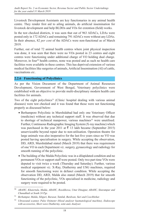Livestock Development Assistants are key functionaries in any animal health centre. They render first aid to ailing animals, do artificial insemination for livestock development and help BLDOs and VOs for extention (field) works.

In the test checked districts, it was seen that out of 963 ADACs, LDAs were posted only in 172 ADACs and remaining 791 ADACs were without any LDAs. In their absence, 82 *per cent* of the ADACs were non-functional as of March 2019.

Further, out of total 72 animal health centres where joint physical inspection was done, it was seen that there were no VOs posted in 23 centres and eight centres were functioning under additional charge of VO holding dual charge. Moreover, in four<sup>50</sup> health centres, none was posted and as such no health care facilities were available in these centres. This has deprived extension of various medical facilities like surgeries of animals, Artificial Insemination (AI) of cattle, vaccinations *etc*.

## **2.2.6 Functioning of Polyclinics**

As per the Vision Document of the Department of Animal Resources Development, Government of West Bengal, Veterinary polyclinics were established with an objective to provide multi-disciplinary modern health care facilities for animals.

Two of the eight polyclinics<sup>51</sup> (Clinic/ hospital dealing with various animal diseases) were test checked and it was found that those were not functioning properly as discussed below:

- Berhampore Polyclinic in Murshidabad had only one Veterinary Officer (medicine) without any technical support staff. It was observed that due to shortage of technical manpower, various machines<sup>52</sup> were unutilised. Further, Continuous Radiographic Imaging System (X-ray machine) which was purchased in the year 2011 at  $\bar{\tau}$  13 lakh became (September 2015) unserviceable beyond repair due to non-utilisation. Operation theatre for large animals was also inoperative for the last five years since no VO was posted having specialisation in surgery. While accepting the observation, DD, ARD, Murshidabad stated (March 2019) that there was requirement of one VO in each Department *viz*. surgery, gynaecology and radiology for smooth running of the polyclinic.
- The building of the Malda Polyclinic was in a dilapidated condition and no permanent VOs or support staff were posted. Only two part time VOs were deputed to visit twice a week (Thursday and Saturday). Further, various medical equipment *viz*. X-Ray, Diathermy and USG machines, required for smooth functioning were in defunct condition. While accepting the observation DD, ARD, Malda also stated (March 2019) that for smooth functioning of the polyclinic, VOs specialised in medicine, radiology and surgery were required to be posted.

<sup>50</sup> *ABAHC, Khaiertala, Malda, ABAHC, Rosokhowa, Uttar Dinajpur, ABAHC, Sitarampur and Chunakhali at South 24 Pgs.*

<sup>51</sup> *Berhampur, Malda, Siliguri, Barasat, Tamluk, Burdwan, Suri and Coochbehar.*

<sup>52</sup> *Ultrasound scanner, Pulse Oximeter (blood analyser haematological machine), Endoscope with accessories, Short wave Diathermy, semi auto Analyser.*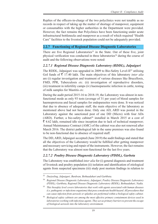Replies of the officers-in-charge of the two polyclinics were not tenable as no records in respect of taking up the matter of shortage of manpower, equipment or consumables with the higher authorities in the Department were provided. However, the fact remains that Polyclinics have been functioning under acute infrastructural bottlenecks and manpower as a result of which required "Health Care" facilities to the livestock population could not be adequately provided.

## **2.2.7 Functioning of Regional Disease Diagnostic Laboratories**

There are five Regional Laboratories<sup>53</sup> in the State. Out of these five, joint physical verification was conducted in three laboratories<sup>54</sup> during the course of audit and the following observations were noted:

## *2.2.7.1 Regional Disease Diagnostic Laboratory (RDDL), Jalpaiguri*

The RDDL, Jalpaiguri was upgraded in 2009 to Bio-Safety Level-II<sup>55</sup> utilising GoI funds of  $\bar{\tau}$  17.40 lakh. The main objectives of this laboratory *inter alia* are (i) regular investigation and treatment of various diseases like Brucellosis, FMD, PPR, Tuberculosis *etc.* (ii) investigation of reproductive disorders, (iii) treatment in infertility camps (iv) haemoparasitic infection in cattle, testing of milk samples for Mastitis *etc.*

During the audit period 2015-16 to 2018-19, the Laboratory was almost in nonfunctional mode as only 93 tests (average of 31 per year) of blood samples for haemoprotozoa and faecal samples for endoparasites were done. It was noticed that due to absence of adequate staff, the main objective of the laboratory as mentioned above had not been done. Only one AD, ARD was posted in the Laboratory against the sanctioned post of one DD (Micro) with four ADs (ARD). Further, a bio-safety cabinet<sup>56</sup> installed in March 2015 at a cost of  $\bar{\xi}$  4.62 lakh, remained idle since inception due to lack of technical manpower; Annual Maintenance Contract (AMC) of the cabinet was also not renewed after March 2016. The district pathological lab in the same premises was also found to be non-functional due to absence of required staff.

The DD, ARD, Jalpaiguri accepted (June 2019) the audit findings and stated that all the objectives of the Laboratory would be fulfilled after getting manpower and necessary servicing and repair of the instruments. However, the fact remains that the Laboratory was almost non-functional for the last five years.

## *2.2.7.2 Poultry Disease Diagnostic Laboratory (PDDL), Garbeta*

The Laboratory was established *inter alia* for (i) general diagnosis and treatment of livestock and poultry population (ii) isolation and identification of etiological agents from suspected specimens (iii) study post mortem findings in relation to

<sup>53</sup> *Darjeeling, Jalpaiguri, Burdwan, Bethuadahari and Garhbeta.*

<sup>54</sup> *Regional Disease Diagnostic Laboratory, Jalpaiguri, Poultry Disease Diagnostic Laboratory (PDDL), Garhbeta, Regional Disease Diagnostic Laboratory (RDDL), Bethuadahari, Nadia.*

<sup>55</sup> *This biosafety level covers laboratories that work with agents associated with human diseases (i.e. pathogenic or infections organisms) that pose a moderate health hazard. All procedures that can cause infection from aerosols or splashes are performed within a biological safety cabinet.*

<sup>56</sup> *Biological safety cabinets are among the most effective primary containment devices used in laboratories working with infectious agents. They act as primary barriers to prevent the escape of biological aerosols into the laboratory environment.*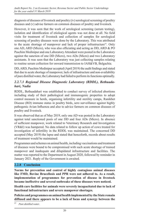diagnosis of diseases of livestock and poultry (iv) serological screening of poultry diseases and (v) advise farmers on common diseases of poultry and livestock.

However, it was seen that the work of serological screening (serum testing), isolation and identification of etiological agents was not done at all. No field visits for treatment of livestock and collection of samples for serological screening of poultry diseases were done by the Laboratory. This was attributed to the acute shortage of manpower and lack of proper infrastructure<sup>57</sup>. Only one AD, ARD (Micro), who was also officiating and acting as DD, ARD & PO Paschim Medinipur and one Laboratory Attendant were posted in the Laboratory against the sanction of one DD (Micro), two ADs (Micro) and two Laboratory assistants. It was seen that the Laboratory was just collecting samples relating to routine serum collection for onward transmission to IAH&VB, Belgachia.

DD, ARD, Paschim Medinipur accepted (April 2019) the audit findings and stated that due to acute shortage of manpower, lack of infrastructure and non-availability of pure distilled water, the Laboratory had failed to perform its functions optimally.

## *2.2.7.3 Regional Disease Diagnostic Laboratory (RDDL), Bethuadahari, Nadia*

RDDL, Bethuadahari was established to conduct survey of infected abortions including study of their pathological and immunogenic properties to adopt control measure in herds, organising infertility and sterility camps, Ranikhet Disease (RD) immune status in poultry birds, sero surveillance against highly pathogenic Avian Influenza and also to advice farmers on common diseases of poultry and livestock.

It was observed that as of May 2019, only one AD was posted in the Laboratory against total sanctioned posts of one DD and four ADs (Micro). In absence of sufficient manpower, work related to Veterinary Research and Investigation (VR&I) was hampered. No data related to follow up action of cows treated for investigation of infertility in the RDDL was maintained. The concerned DD accepted (May 2019) the lapse and stated that henceforth, records about results of treatment would be maintained.

Programmes and schemes on animal health, including vaccinations and treatment of diseases were bound to be compromised with such acute shortage of trained manpower and inadequate and dilapidated infrastructure and facilities. The matter was reported to the Department in August 2020, followed by reminder in January 2021. Reply of the Government is awaited.

## **2.2.8 Conclusion**

**Norms for prevention and control of highly contagious animal diseases like FMD, Bovine Brucellosis and PPR were not adhered to. As a result, implementation of programmes for prevention of disease in livestock became ineffective and several outbreaks of these diseases were noticed.** 

**Health care facilities for animals were severely incapacitated due to lack of functional infrastructure and severe manpower shortages.** 

**Policies and programmes on animal health implemented by the State remain diffused and there appears to be a lack of focus and synergy between the** 

<sup>57</sup> *Pure distilled water*.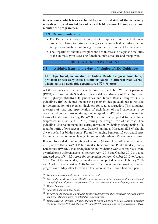**interventions, which is exacerbated by the dismal state of the veterinary infrastructure and woeful lack of critical field personnel to implement and monitor the programmes.**

## **2.2.9 Recommendations**

- The Department should enforce strict compliance with the laid down protocols relating to testing efficacy, vaccination schedule, infrastructure and post-vaccination monitoring to ensure effectiveness of the vaccines.
- The Department should strengthen the health care and diagnostic facilities of the animals by re-assessing functional infrastructure and manpower.

## **PUBLIC WORKS DEPARTMENT**

## **2.3 Avoidable Expenditure due to Violation of IRC Guidelines**

**The Department, in violation of Indian Roads Congress Guidelines, provided unnecessary extra bituminous layers in different road works**  which led to an avoidable expenditure of  $\bar{\tau}$  4.78 crore.

All the estimates of road works undertaken by the Public Works Department (PWD) are based on its Schedule of Rates (SOR), Ministry of Road Transport and Highways (MOR&TH) guidelines and Indian Roads Congress (IRC) guidelines. IRC guidelines include the pavement design catalogue to be used for determination of pavement thickness for road construction. This stipulates thickness of road and specification of each layer of road pavement to be constructed on the basis of strength of sub-grade soil<sup>58</sup>, which is expressed in terms of California Bearing Ratio<sup>59</sup> (CBR) and the projected traffic volume (expressed in  $msa^{60}$  and ESAL<sup>61</sup>) during the design life<sup>62</sup> of the road. The guidelines also recommend that during formation/ widening/ strengthening of a road for traffic of two *msa* or more, Dense Bituminous Macadam (DBM) should always be laid as binder course. For traffic ranging between 1.5 *msa* and 2 *msa*, the guidelines recommend laying Bituminous Macadam (BM) as binder course.

It was observed during scrutiny of records (during June 2018 to November  $2018$ ) of five Divisions<sup>63</sup> of Public Works Directorate and Public Works (Roads) Directorate (PWRD), that strengthening and widening works of six roads were awarded to six different agencies between April 2015 and October 2017 at a total tendered cost of  $\bar{\tau}$  48.51 crore for completion between October 2015 to August 2018. Out of the six works, five works were completed between February 2016 and April 2017 at a cost of  $\bar{\mathfrak{g}}$  46.34 crore. The remaining one work was under progress as of May 2019 for which a total amount of  $\bar{\tau}$  8 crore had been paid.

<sup>58</sup> *The native material underneath a constructed road.*

<sup>59</sup> *The California Bearing Ratio (CBR) is a penetration test for evaluation of the mechanical strength of natural ground, subgrades and base courses beneath new carriageway construction*. <sup>60</sup> *Million Standard Axles.*

<sup>61</sup> *Equivalent Standard Axle Load.*

<sup>62</sup> *The design life of a road is defined in terms of years arrived at by considering the cumulative number of standard axles (vehicles) that can be carried.*

<sup>63</sup> *Malda Highway Division (PWRD), Purulia Highway Division (PWRD), Dakshin Dinajpur Highway Division (PWRD), Barasat Division (PWD) and Diamond Harbour Division (PWD).*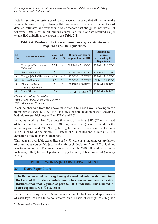Detailed scrutiny of estimates of relevant works revealed that all the six works were to be executed by following IRC guidelines. However, from scrutiny of detailed estimates and vouchers it was observed that the guidelines were not followed. Details of the bituminous course laid *vis-à-vis* that required as per extant IRC guidelines are shown in the **Table 2.4**.

| Table 2.4: Road-wise thickness of bituminous layers laid vis-à-vis |  |  |  |  |  |  |  |
|--------------------------------------------------------------------|--|--|--|--|--|--|--|
| required as per IRC guidelines.                                    |  |  |  |  |  |  |  |
|                                                                    |  |  |  |  |  |  |  |

| SI.<br>$\mathbf{N}\mathbf{0}$ | <b>Name of the Road</b>                 | msa<br>value | <b>CBR</b><br>in $\%$ | <b>Bituminous course</b><br>required as per IRC | <b>Bituminous</b><br>course<br>executed by the<br><b>Department</b> |
|-------------------------------|-----------------------------------------|--------------|-----------------------|-------------------------------------------------|---------------------------------------------------------------------|
| $\overline{1}$                | Daulatpur-Harirampur-<br>Dehaband       | 2.25         | $\overline{4}$        | 50 DBM $+$ 25 SDBC*                             | $75$ BM $+ 25$ SDBC                                                 |
| $\overline{2}$                | Jhalda-Bagmundi                         | 3            | 6                     | $50$ DBM $+ 25$ SDBC                            | 75 BM + 25 SDBC                                                     |
| 3                             | Hatugunj-Purba Bishnupur                | 4.28         | 3.22                  | $50$ DBM $+ 25$ SDBC                            | $75$ BM $+ 25$ SDBC                                                 |
| $\overline{4}$                | Sarisha-Noorpur                         | 4.5          | 3.6                   | $70$ DBM $+ 25$ SDBC                            | 100 BM +25 SDBC                                                     |
| 5                             | Kholapota-Baduria-<br>Maslandapur-Habra | 7            | 5                     | 60 DBM + 30 BC**                                | $75$ DBM $+$ 40 BC                                                  |
| 6                             | Ratua-Bhaluka                           | 1.73         | $\overline{4}$        | $50$ BM + 20 OGPC <sup>64</sup>                 | $50$ DBM $+$ 30 BC                                                  |

*(Source: Records of the divisions)* 

*\*SDBC=Semi Dense Bituminous Concrete,*

*\*\*BC=Bituminous Concrete*

It can be observed from the above table that in four road works having traffic more than two *msa* (Sl. No. 1 to 4), the Divisions, in violation of the Guidelines, had laid excess thickness of BM, DBM and BC.

In another work (Sl. No. 5), excess thickness of DBM and BC (75 mm instead of 60 mm and 40 mm instead of 30 mm, respectively) was laid while in the remaining one work (Sl. No. 6), having traffic below two *msa*, the Division laid 50 mm DBM and 30 mm BC instead of 50 mm BM and 20 mm OGPC in deviation of the relevant Guidelines.

This led to an avoidable expenditure of  $\bar{\tau}$  4.78 crore in laying unnecessary layers of bituminous course. No justification for such deviation from IRC guidelines was found on record. The matter was reported (July 2019 followed by reminder in January 2021) to the Department; reply has not yet been received (January 2021).

## **PUBLIC WORKS (ROADS) DEPARTMENT**

## **2.4 Extra Expenditure**

**The Department, while strengthening of a road did not consider the actual thickness of the existing non-bituminous base course and provided extra thickness than that required as per the IRC Guidelines. This resulted in extra expenditure of**  $\bar{\tau}$  **0.82 crore.** 

Indian Roads Congress (IRC) Guidelines stipulate thickness and specification of each layer of road to be constructed on the basis of strength of sub-grade

**Open Graded Premix Carpet.**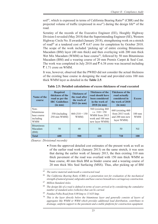soil<sup>65</sup>, which is expressed in terms of California Bearing Ratio<sup>66</sup> (CBR) and the projected volume of traffic (expressed in *msa*67) during the design life68 of the road.

Scrutiny of the records of the Executive Engineer (EE), Hooghly Highway Division-I revealed (May 2018) that the Superintending Engineer (SE), Western Highway Circle No. II awarded (January 2018), strengthening work on a stretch of road<sup>69</sup> at a tendered cost of  $\bar{\tau}$  6.67 crore for completion by October 2018. The scope of the work included 'picking up' of entire existing Bituminous Macadam (BM) layer (40 mm thick) and then overlaying with 200 mm thick Wet Mix Macadam (WMM) as base course<sup>70</sup>, followed by 50 mm Bituminous Macadam (BM) and a wearing course of 20 mm Premix Carpet & Seal Coat. The work was completed in July 2018 and  $\bar{\tau}$  6.38 crore was incurred including  $\bar{\xi}$  1.71 crore on WMM.

It was, however, observed that the PWRD did not consider the actual thickness of the existing base course in designing the road and provided extra 100 mm thick WMM layer as detailed in the **Table 2.5**:

| Name of the<br>course                                        | <b>Required</b><br>thickness of the<br>road as per the<br><b>IRC</b> Guidelines<br>(in mm) | <b>Thickness of the</b><br><b>Thickness of</b><br>road should have<br>the road after<br>been considered<br>the work of<br>in the work of<br>$2013$ (in mm)<br>2018 (in mm) |                                                                                                   | <b>Thickness of the</b><br>road actually<br>considered in<br>the work of 2018<br>(in mm) | <b>Excess</b>                  |
|--------------------------------------------------------------|--------------------------------------------------------------------------------------------|----------------------------------------------------------------------------------------------------------------------------------------------------------------------------|---------------------------------------------------------------------------------------------------|------------------------------------------------------------------------------------------|--------------------------------|
| Non-<br>bituminous<br>base course<br>including<br><b>WMM</b> | 550 (including)<br>250 mm WMM)                                                             | $460(310+150)$<br>WMM)                                                                                                                                                     | 560 (existing 460)<br><i>i.e.</i> $310+150$<br>WMM from 2013<br>work and 100 mm<br>new layer WMM) | $660$ (existing $460$ )<br>from 2013 work<br>and 200 mm new<br>layer WMM)                | $100 \text{ mm}$<br><b>WMM</b> |
| <b>Bituminous</b><br>Macadam<br>(BM)                         | 50                                                                                         | 40                                                                                                                                                                         | 50                                                                                                | 50                                                                                       | <b>Nil</b>                     |
| <b>Total</b>                                                 | 600                                                                                        | 500                                                                                                                                                                        | 610                                                                                               | 710                                                                                      | <b>100</b>                     |

**Table 2.5: Detailed calculations of excess thickness of road executed**

*(Source: Divisional records)*

• From the approved detailed cost estimates of the present work as well as of the earlier road work (January 2013) on the same stretch, it was seen that during the earlier work of January 2013, the then existing 310 mm thick pavement of the road was overlaid with 150 mm thick WMM as base course, 40 mm thick BM as binder course and a wearing course of 20 mm thick Mix Seal Surfacing (MSS). Thus, after picking up of BM

- <sup>66</sup> *The California Bearing Ratio (CBR) is a penetration test for evaluation of the mechanical strength of natural ground, subgrades and base courses beneath new carriageway construction.*
- <sup>67</sup> *Million Standard Axles.*

- <sup>69</sup> *Pandua-Polba Road from 8.00 kmp to 15.635 kmp.*
- This is the layer directly below the bituminous layer and generally consists of layers of *aggregates like WMM or WBM which provides additional load distribution, contributes to drainage, uniform support to the pavement and a stable platform for construction equipment.*

<sup>65</sup> *The native material underneath a constructed road.*

<sup>68</sup> *The design life of a road is defined in terms of years arrived at by considering the cumulative number of standard axles (vehicles) that can be carried.*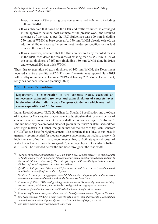layer, thickness of the existing base course remained  $460 \text{ mm}^2$ , including 150 mm WMM.

- It was observed that based on the CBR and traffic volume<sup>72</sup> as envisaged in the approved detailed cost estimate of the present work, the required thickness of the road as per the IRC Guidelines was 600 mm including 250 mm of WMM as base course. As 150 mm WMM already existed, an additional 100 mm was sufficient to meet the design specifications as laid down in the guidelines.
- It was, however, observed that the Division, without any recorded reason in the DPR, considered the thickness of existing road as 350 mm in lieu of the actual thickness of 460 mm (including 150 mm WMM done in 2013) and executed 200 mm thick WMM.

Thus, due to execution of extra thickness of 100 mm WMM, the Department incurred an extra expenditure of  $\bar{\mathfrak{g}}$  0.82 crore. The matter was reported (July 2019) followed by reminders in December 2019 and January 2021) to the Department; reply has not been received (January 2021).

## **2.5 Excess Expenditure**

**Department, in construction of two concrete roads, executed an unnecessary extra sub-base layer and extra thickness of concrete layer in violation of the Indian Roads Congress Guidelines which resulted in excess expenditure of**  $\bar{\tau}$  **1.36 crore.** 

Indian Roads Congress (IRC) Guidelines for Standard Specification and the Code of Practice for Construction of Concrete Roads, stipulate that for construction of concrete roads, cement concrete layers shall be laid over a layer of sub-base<sup>73</sup>. The sub-base may be composed either of granular material<sup>74</sup> or stabilised soil<sup>75</sup> or semi-rigid material<sup>76</sup>. Further, the guidelines for the use of "Dry Lean Concrete"  $(DLC)^{77}$  as sub-base for rigid pavement" also stipulate that a DLC as sub-base is generally recommended for modern concrete pavements, particularly those with high intensity of traffic. It also recommends that, to facilitate quick disposal of water that is likely to enter the sub-grade<sup>78</sup>, a drainage layer of Granular Sub-Base (GSB) shall be provided below the sub-base throughout the road width.

- <sup>75</sup> *Composed of local soil or moorum stabilized with lime or lime-fly ash or cement.*
- <sup>76</sup> *Composed of lime-burnt clay puzzalana concrete, lime-fly ash concrete and Dry Lean Concrete.*
- <sup>77</sup> *Dry Lean Concrete (DLC) is a plain concrete with a large ratio of aggregate to cement than conventional concrete and generally used as a base/ sub base of rigid pavement.*
- <sup>78</sup> *The native material underneath a constructed road.*

<sup>71</sup> *310 mm thick pavement (existing) + 150 mm thick WMM as base course + 40 mm thick BM as binder course = 500 mm (20 mm MSS as wearing course is not regarded as an addition to the overall thickness of the road*). *Thus, after picking up of 40 mm BM layer in the new work, thickness of the existing base course became 460 mm.*

<sup>72</sup> *(i)CBR = 3.95 per cent (ii)msa = 6.81 for sub-base and base course (non-bituminous) considering design life of the road as 15 years.* 

<sup>73</sup> *Sub-base is the layer of aggregate material laid on the sub-grade (the native material underneath a constructed road), on which the base course layer is laid.*

<sup>74</sup> *Composed of WBM, WMM, well-graded granular materials like natural gravel, crushed slag, crushed cement, brick metal, laterite, kankar, well graded soil aggregate mixtures etc.*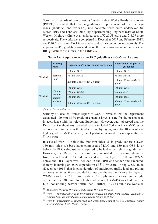Scrutiny of records of two divisions<sup>79</sup> under Public Works Roads Directorate (PWRD) revealed that the upgradation/ improvement of two village roads (Work- $A^{80}$  and Work- $B^{81}$ ) into concrete roads were undertaken (in March 2015 and February 2017) by Superintending Engineer (SE) of South Western Highway Circle at a tendered cost of  $\bar{\tau}$  20.53 crore and  $\bar{\tau}$  6.07 crore respectively. The works were completed in December 2017 and February 2018, and  $\bar{\xi}$  20.51 crore and  $\bar{\xi}$  6.15 crore were paid to the contractors respectively. The improvement/upgradation works done on the roads vis-à-vis requirement as per IRC guidelines are shown in the **Table 2.6**.

|        | <b>Existing</b><br>road       | <b>Upgradation/Improvement works done</b> | <b>Requirement as per IRC</b><br>guidelines |
|--------|-------------------------------|-------------------------------------------|---------------------------------------------|
|        |                               | 100 mm GSB                                | 100 mm GSB                                  |
| Work-A | Earthen<br>Road               | 75 mm WMM                                 | 75 mm WMM                                   |
|        |                               | 200 mm Concrete (M-35 grade)              | 190 mm Concrete (M-30)<br>grade)            |
|        |                               | 150 mm GSB                                | $150 \text{ mm}$ GSB                        |
|        | $200 \text{ mm}$ to           | 250 mm WMM                                | Not required                                |
| Work-B | $250 \text{ mm}$<br>laterite/ | $150 \text{ mm}$ DLC                      | $150 \text{ mm}$ DLC                        |
|        | moorum                        | 300 mm Concrete (M-45 grade)              | 300 mm Concrete (M-45)<br>grade)            |

**Table 2.6: Requirement as per IRC guidelines** *vis-à-vis* **works done** 

*(Source: Divisional records)*

Scrutiny of Detailed Project Report of Work-A revealed that the Department calculated 190 mm M-30 grade of concrete layer as safe for the instant road in accordance with the relevant Guidelines. However, audit observed that the Department without any recorded reason included 200 mm thick M-35 grade of concrete pavement in the tender. Thus, by laying an extra 10 mm of and higher grade of M-35 concrete, the Department incurred excess expenditure of  $\bar{\epsilon}$  0.57 crore.

In case of Work-B, below the 300 mm thick M-45 grade concrete layer, 150 mm thick sub-base layer composed of DLC and 150 mm GSB layer below the DLC sub-base were required to be laid as per relevant guidelines. However, the Department without any recorded justification, deviated from the relevant IRC Guidelines and an extra layer of 250 mm WMM below the DLC layer was included in the DPR and tender and executed, thereby incurring an extra expenditure of  $\bar{\tau}$  0.79 crore. In reply, SE stated (December 2018) that in consideration of anticipated traffic load and plying of heavy vehicles, it was decided to improve the road with an extra layer of WMM prior to DLC for future lasting. The reply may be viewed in the light of the fact that 300 mm thick high grade concrete (M-45) was laid over the DLC considering heavier traffic load. Further, DLC as sub-base was also

<sup>79</sup> *Midnapore Highway Division-II and Purulia Highway Division.*

<sup>80</sup> *Work-A-"Improvement of road by providing concrete pavement from Ajodhya (Hatinda) to Khamar Road via Tellyabhasa, Bamnijora and Pititiri-21.86 km"*

<sup>81</sup> *Work-B-"Upgradation of village road from Farm Road Point at NH-6 to Jambedia Village near Jindal Steel Works Plant-1.48 km"*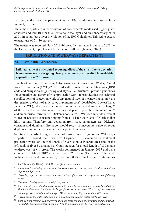laid below the concrete pavement as per IRC guidelines in case of high intensity traffic.

Thus, the Department in construction of two concrete roads used higher grade concrete and laid 10 mm thick extra concrete layer and an unnecessary extra 250 mm of sub-base layer in violation of the IRC Guidelines. This led to excess expenditure of  $\bar{\mathbf{z}}$  1.36 crore<sup>82</sup>.

The matter was reported (July 2019 followed by reminder in January 2021) to the Department; reply has not been received till date (January 2021).

#### **IRRIGATION AND WATERWAYS DEPARTMENT**

## **2.6 Avoidable Expenditure**

**Inflated value of anticipated scouring effect of the river due to deviation from the norms in designing river protection works resulted in avoidable**  expenditure of  $\bar{z}$  1 crore.

Handbook for Flood Protection, Anti-erosion and River-training Works, Central Water Commission (CWC)-2012, read with Bureau of Indian Standards (BIS) code and 'Irrigation Engineering and Hydraulic Structures' provide guidelines for estimation and design of river protection work. It provides that the technical specifications of protection work of any natural river of meandering nature<sup>83</sup> are designed on the basis of anticipated maximum scour<sup>84</sup> depth below Lowest Water Level<sup>85</sup> (LWL), which is arrived *inter alia* on the basis of dominant discharge<sup>86</sup> of the river. Further, dominant discharge depends upon the catchment area<sup>87</sup> and an empirical formula *viz*. Dicken's constant<sup>88</sup>. CWC recommends different values of Dicken's constant ranging from 11-14 for the rivers of North-Indian hilly regions. Therefore, any deviation from these parameters *viz.* Dicken's constant and dominant discharge, would result in inaccurate value of scour depth resulting in faulty design of river protection work.

Scrutiny of records of Siliguri Irrigation Division under Irrigation and Waterways Department showed that Executive Engineer (EE) executed embankment protection works on the right bank of river Boon at Pataram area and on the left bank of river Swarnamati at Gourijote area for a total length of 850 m at a tendered cost of  $\bar{\tau}$  1 crore. The works commenced in January 2017 and were completed in March 2017 at a total cost of  $\bar{\tau}$  1 crore. The scope of the work included river bank protection by providing 0.23 m thick grouted bituminous

- <sup>85</sup> *The lowest level of water recorded for dry season*
- <sup>86</sup> *For natural rivers, the discharge which determines the meander length may be called the Dominant discharge. Dominant discharge of river varies between 1/2 to 2/3 of the maximum discharge, where Maximum discharge =Dicken's constant X (catchment area)*3/4 *cumec.*
- <sup>87</sup> *A river drains the water collected from a specific area which is called catchment area.*
- <sup>88</sup> *Derived from regional values arrived at on the basis of nature of catchment and the intensity of rainfall. The value of this varies from 6 to 28 depending upon the geographical region.*

 $82 \quad \overline{\mathfrak{e}}$  0.79 crore (for WMM) +  $\overline{\mathfrak{e}}$  0.57 crore (for excess concrete)

<sup>83</sup> *A meander is a winding curve or bend in a river. Meanders are the result of both erosional and depositional processes.*

<sup>84</sup> *'Scouring' refers to the removal of the bed or bank of a water course by the action of flowing water.*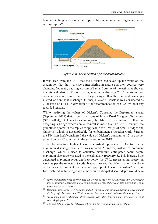

boulder pitching work along the slope of the embankment, resting over boulder sausage apron<sup>89</sup>.

*Figure 2.2: Cross section of river embankment*

It was seen from the DPR that the Division had taken up the work on the assumption that the rivers were meandering in nature and their courses were changing frequently causing erosion of banks. Scrutiny of the estimates showed that for calculation of scour depth, maximum discharge<sup>90</sup> of the rivers was considered (value of maximum discharge is higher than the dominant discharge) instead of dominant discharge. Further, Dicken's Constant was considered as 20 instead of 11-14, in deviation of the recommendation of CWC without any recorded reasons.

While justifying the values of Dicken's Constant, the Department stated (September 2019) that as per provisions of Indian Road Congress Guidelines (SP:13-2004), Dicken's Constant may be 14-19 for estimation of flood in designing a bridge where annual rainfall is more than 120 cm. However, the guidelines quoted in the reply are applicable for 'Design of Small Bridges and Culverts', which is not applicable for embankment protection work. Further, the Division itself considered the value of Dicken's constant as 12 in another protection work $91$  executed in the same region in 2018.

Thus, by adopting higher Dicken's constant applicable to Central India, maximum discharge calculated was inflated. Moreover, instead of dominant discharge, which is used to calculate maximum anticipated scour depth, maximum discharge was used in the estimates *(Appendix-5)*. This increased the calculated maximum scour depth to below the LWL, necessitating protection work as per the relevant IS code. It was observed that if estimation was done on the basis of dominant discharge and appropriate Dicken's constant<sup>92</sup> relevant for North Indian hilly regions the maximum anticipated scour depth would have

<sup>89</sup> *Apron is a flexible stone cover placed on the bed of the river which settles into the scouring area as scouring takes place and covers the base and side of the scour hole, preventing it from developing further scouring.*

<sup>90</sup> *Maximum discharge of 347.48 cumec and 287.79 cumec was considered against the Dominant discharge of 139 cumec and 115.12 cumec in river Swarnamati and river Boon respectively.*

<sup>91</sup> *Protection on the right bank of River Lachka near Uttora township for a length of 400 m at lower Bagdogra G.P.*

<sup>92</sup> *0.44 and 0.06 m above the LWL respectively for the river Swarnamati and Boon.*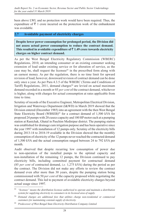been above LWL and no protection work would have been required. Thus, the expenditure of  $\bar{\tau}$  1 crore incurred on the protection work of the embankment was avoidable.

#### **2.7 Avoidable payment of electricity charges**

**Despite lower power consumption for prolonged period, the Division did not assess actual power consumption to reduce the contract demand.**  This resulted in avoidable expenditure of  $\bar{\tau}$  1.49 crore towards electricity **charges on higher contract demand.**

As per the West Bengal Electricity Regulatory Commission (WBERC) Regulations, 2010, an intending consumer or an existing consumer seeking extension of load under existing service or for alteration of service, as the case may be, shall request the licensee $93$  in the prescribed form along with an earnest money. As per the regulation, there is no time limit for upward revision of load; however, downward revision of contract demand can be done only once a year. As per Para 4.3.5 of the WBERC (Terms and Conditions of Tariff) Regulations, 2011, demand charges $94$  are levied on actual maximum demand recorded in a month or 85 *per cent* of the contract demand, whichever is higher, along with charges for actual consumption at rates applicable from time to time.

Scrutiny of records of the Executive Engineer, Metropolitan Electrical Division, Irrigation and Waterways Department (I&WD) in March 2019 showed that the Division entered (December 1985) into an agreement with the then West Bengal State Electricity Board (WBSEB)<sup>95</sup> for a contract demand of 1,500 kVA for proposed 24 pumps with 20 cusecs capacity and 100 HP motor each at a pumping station at Ranichak, Ghatal in Paschim Medinipur district. The pumping station was established for drainage cum irrigation purpose and has been operative since the year 1997 with installation of 12 pumps only. Scrutiny of the electricity bills during 2013-14 to 2018-19 available in the Division showed that the monthly consumption of electricity of the 12 pumps never reached the contracted demand of 1,500 kVA and the actual consumption ranged between 24 to 792 kVA per month.

Audit observed that despite recurring low consumption of power due to non-operation of the installed pumps to the optimal capacity and non-installation of the remaining 12 pumps, the Division continued to pay electricity bills, including committed payment for contractual demand (85 *per cent* of contracted demand, *i.e.* 1,275 kVA) during the period as per the contract. The Division did not make any efforts to review the contract demand even after more than 30 years, despite the pumping station being commissioned with 50 *per cent* of the capacity proposed while negotiating the contract demand. This led to payment of avoidable electricity charges beyond actual usage since 1997.

<sup>93</sup> *"licensee" means the distribution licensee authorized to operate and maintain a distribution system for supplying electricity to consumers in its licensed area of supply.*

<sup>94</sup> *Demand charges are additional fees that utilities charge non-residential or commercial customers for maintaining constant supply of electricity.*

<sup>95</sup> *Predecessor of West Bengal State Electricity Distribution Company Limited.*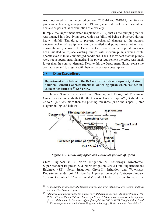Audit observed that in the period between 2013-14 and 2018-19, the Division paid avoidable energy charges of  $\bar{\tau}$  1.49 crore, since it did not revise the contract demand as per actual consumption of electricity.

In reply, the Department stated (September 2019) that as the pumping station was situated in a low lying area, with possibility of being submerged during heavy rainfall. Therefore, to prevent mechanical damage to the pumps, electro-mechanical equipment was dismantled and pumps were not utilised during the rainy season. The Department also stated that a proposal has since been initiated to replace existing pumps with modern pumps which could operate even in totally submerged conditions. Thus, it is evident that the pumps were not in operation as planned and the power requirement therefore was much lower than the contract demand. Despite this the Department did not revise the contract demand to align it with their actual power consumption.

## **2.8 Extra Expenditure**

**Department in violation of the IS Code provided excess quantity of stone boulders/Cement Concrete Blocks in launching apron which resulted in extra expenditure of**  $\bar{\tau}$  **4.88 crore.** 

The Indian Standard (IS) Code on Planning and Design of Revetment Guidelines recommends that the thickness of launched apron<sup>96</sup> (T) should be 25 to 50 *per cent* more than the pitching thickness (t) on the slopes. (Refer diagram in Fig. 2.3 below)



*Figure 2.3: Launching Apron and Launched position of Apron*

Chief Engineer (CE), North Irrigation & Waterways Directorate, Superintendent Engineer (SE), North Irrigation Circle-I and Superintendent Engineer (SE), North Irrigation Circle-II, Irrigation and Waterways Department undertook 12 river bank protection works (between January 2014 to December 2016)-three works<sup>97</sup> under Malda Irrigation Division, five

<sup>96</sup> *As soon as the scour occurs, the launching apron falls down into the scoured portion, and then it is called the launched apron.*

<sup>97</sup> *"Bank protection work on the left bank of river Mahananda in Mouza-Asrafpur (from plot No. 609 to 777, near Border Gate No. 43) (Length 950 m)", "Bank protection work on the left bank of river Mahananda in Mouza-Asrafpur (from plot No. 785 to 1015) (Length 950 m)" and "1500 meter protection work of river Tangon at Aihodanga, Block-Habibpur, Dist-Malda"*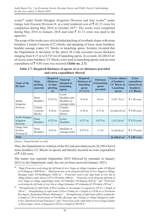works<sup>98</sup> under North Dinajpur Irrigation Division and four works<sup>99</sup> under Ganga Anti Erosion Division-II, at a total tendered cost of  $\bar{\tau}$  42.23 crore for completion during May 2014 to October 2017. The works were completed during May 2014 to January 2018 and total  $\bar{\tau}$  41.31 crore was paid to the agencies.

The scope of the works *inter alia* included pitching of riverbank slopes with stone boulders/ Cement Concrete (CC) blocks and dumping of loose stone boulders/ boulder sausage crates/ CC blocks in launching apron. Scrutiny revealed that the Department in deviation of the above IS Code executed excess thickness (ranging from  $0.15$  m to  $0.525$  m) of launching apron. As a result,  $26,108.63$  m<sup>3</sup> of excess stone boulders/ CC blocks were used in launching aprons and an extra expenditure of  $\bar{\mathbf{z}}$  4.88 crore was incurred **(Table no. 2.7)**.

| Name of the<br><b>Division</b>           | <b>Slope</b><br>pitching<br>material | <b>Required</b><br>thickness<br>of slope<br>pitching<br>(t) | <b>Material</b><br>dumped in<br>launching<br>apron     | <b>Required</b><br>thickness of<br>launching<br>apron<br>$(T=1.5 t)$ | <b>Thickness</b><br>of launching<br>apron<br>provided | <b>Excess volume</b><br>of boulders/<br><b>CC Blocks in</b><br>Launching<br>Apron | <b>Extra</b><br>expenditure<br>incurred on<br>boulders/<br><b>CC Blocks</b> |
|------------------------------------------|--------------------------------------|-------------------------------------------------------------|--------------------------------------------------------|----------------------------------------------------------------------|-------------------------------------------------------|-----------------------------------------------------------------------------------|-----------------------------------------------------------------------------|
| Malda<br>Irrigation                      | <b>Stone</b><br><b>Boulders</b>      | $0.225 \text{ m}$                                           | Loose<br>Boulders and<br>Boulders in<br>sausage crates | $0.34 \text{ m}$                                                     | 0.6 <sub>m</sub>                                      | 5,341.78 $m3$                                                                     | ₹ 1.40 crore                                                                |
| Division                                 | Cement<br>Concrete<br><b>Blocks</b>  | $0.20 \text{ m}$                                            | Cement<br>Concrete<br><b>Blocks</b>                    | 0.30 <sub>m</sub>                                                    | $0.75 \text{ m}$                                      | $10,106.670 \text{ m}^3$                                                          | $\bar{\epsilon}$ 0.40 crore                                                 |
| North Dinajpur<br>Irrigation<br>Division | <b>Stone</b><br><b>Boulders</b>      | $0.225 \text{ m}$                                           | Loose<br><b>Boulders</b>                               | $0.337 \text{ m}$                                                    | $0.675 \text{ m}$                                     | $1,475.38 \text{ m}^3$                                                            | $\bar{z}$ 0.29 crore                                                        |
| Ganga Anti<br>Erosion<br>Division-II     | <b>Stone</b><br><b>Boulders</b>      | $0.45 \text{ m}$                                            | Boulders in<br>sausage crates                          | $0.675 \text{ m}$                                                    | 1.2 m                                                 | $9,184.80 \text{ m}^3$                                                            | $\bar{\tau}$ 2.79 crore                                                     |
| <b>Total</b>                             |                                      |                                                             |                                                        |                                                                      |                                                       | $26,108.63$ m <sup>3</sup>                                                        | $\bar{z}$ 4.88 crore                                                        |

**Table 2.7: Required thickness of apron** *vis-à-vis* **thickness provided and extra expenditure thereof**

*(Source: Departmental records)*

Thus, the Department in violation of the IS Code provided excess 26,108.63m<sup>3</sup> of stone boulders/ CC Blocks in aprons and thereby incurred an extra expenditure of  $\bar{\bar{\xi}}$  4.88 crore.

The matter was reported (September 2019 followed by reminder in January 2021) to the Department; reply has not yet been received (January 2021).

<sup>98</sup> *"Bank Protection work along the left bank of river Nagar at village Gopalpur under GP-Bhatol in PS-Raiganj (1400.00 m)", "Bank protection work along the left bank of river Tangon at Village Mirjagar under GP-Radhikapur (1000 m)", "Protection work to the right bank of river Sui at village Khasra under Surun-I GP in PS-Itahar (900 m)", "Protection work along the left bank of river Nagar at village Jagadishpur under GP-Halalpur, PS-Raiganj (650 m)" and "Protection work along the left bank of river Sui at village Gulandar, GP-Gulandar-II, PS-Itahar (595 m)".*

<sup>99</sup> *"Strengthening of right bank of River padma at suryanagar in sagarpara GP for a length of 160 m", "Strengthening of right bank of River Padma for a length of 110.00 m at Pascheem Becchpara, Bamnabad (Mouza Shibnagar)", "Strengthening of right bank of River padma for a length of 150 m downstream of Farakka Barrage upto Jalangi at village Balagachi under 6 Nos. Kharibona Gram Panchayet" and "Protection of the right bank of river Ganga-Padma at Suryanagar colony in Sagarpara GP for a length of 200.00 m"*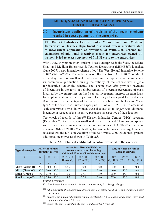## **MICRO, SMALL AND MEDIUM ENTERPRISES & TEXTILES DEPARTMENT**

## **2.9 Inconsistent application of provision of the incentive scheme resulted in excess payment to the enterprises**

**The District Industries Centres under Micro, Small and Medium Enterprises & Textiles Department disbursed excess incentives due to inconsistent application of provisions of WBIS-2007 scheme for calculation of additional incentives meant for enterprises owned by women.** It led to excess payment of  $\bar{\tau}$  13.85 crore to the enterprises.

With a view to promote micro and small scale enterprises in the State, the Micro, Small and Medium Enterprises & Textiles Department (MSME&T) launched (June 2007) a new incentive scheme titled "The West Bengal Incentive Scheme 2007" (WBIS-2007). The scheme was effective from April 2007 to March 2012. Any micro or small scale industrial unit/ enterprise which commenced its commercial production during the validity of the scheme was eligible for incentives under the scheme. The scheme *inter alia* provided payment of incentives in the form of reimbursement of a certain percentage of costs incurred by the enterprises on fixed capital investment, interest on term-loans for implementation of the project and electricity charges paid for production  $\&$  operation. The percentage of the incentives was based on the location<sup>100</sup> and type<sup>101</sup> of the enterprise. Further, as per para 16.1 of WBIS-2007, all micro/ small scale enterprises owned by women were also entitled to 10 *per cent* additional incentive in respect of the incentive packages, irrespective of their location.

Test-check of records of three<sup>102</sup> District Industries Centres (DICs) revealed (December 2018) that seven small scale enterprises and 11 micro enterprises were treated as women enterprises and incentives of  $\bar{\tau}$  76.59 crore were disbursed (March 2010 - March 2017) to those enterprises. Scrutiny, however, revealed that the DICs, in violation of the said WBIS-2007 guidelines, granted additional incentives as shown in **Table 2.8**.

| <b>Rate of incentives</b><br><b>Type of enterprise</b><br>normally allowed |      |      | Rate of incentives applicable for<br>women's enterprises including<br>additional 10% on allowable incentives |                                                 |                        | Rate at which incentives<br>actually allowed |         |                       |            |
|----------------------------------------------------------------------------|------|------|--------------------------------------------------------------------------------------------------------------|-------------------------------------------------|------------------------|----------------------------------------------|---------|-----------------------|------------|
| (1)                                                                        | (2)  | (3)  | (4)                                                                                                          | $(7) = (4) +$<br>$(5) = (2) +$<br>$(6) = (3) +$ |                        |                                              | $(8) =$ | $(9) =$               | $(10) =$   |
|                                                                            |      |      |                                                                                                              | $10\% \text{ of } (2)$                          | $10\% \text{ of } (3)$ | $10\% \text{ of } (4)$                       |         | $(2)+10\%$ (3) + 10 % | $(4)+10\%$ |
|                                                                            |      |      | E                                                                                                            | F                                               |                        | E                                            |         |                       |            |
| Micro (Group-B)                                                            | 25.0 | 30.0 | 30.0                                                                                                         | 27.5                                            | 33.0                   | 33.0                                         | 35.0    | 40.0                  | 40.0       |
| Micro (Group-C)                                                            | 30.0 | 30.0 | 30.0                                                                                                         | 33.0                                            | 33.0                   | 33.0                                         | 40.0    | 40.0                  | 40.0       |
| <b>Small (Group-B)</b>                                                     | 15.0 | 25.0 | 30.0                                                                                                         | 16.5                                            | 27.5                   | 33.0                                         | 25.0    | 35.0                  | 40.0       |
| <b>Small (Group-C)</b>                                                     | 17.0 | 25.0 | 30.0                                                                                                         | 18.7                                            | 27.5                   | 33.0                                         | 27.0    | 35.0                  | 40.0       |

**Table 2.8: Details of additional incentive provided to the agencies**

*Units in percentage*

*F = Fixed capital investment, I = Interest on term loan, E = Energy charges*

<sup>100</sup> *All the districts of the State were divided into four categories A, B, C and D based on their backwardness.*

<sup>101</sup> *Enterprise is a micro where fixed capital investment is ≤* ` *25 lakh or small scale where fixed capital investment is*  $\leq \xi$  *5 crore.* 

<sup>102</sup> *Siliguri (Group-C), Birbhum (Group-C) and Hooghly (Group-B).*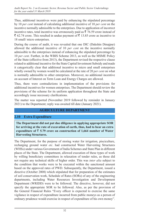Thus, additional incentives were paid by enhancing the stipulated percentage by 10 *per cent* instead of calculating additional incentive of 10 *per cent* on the incentive normally admissible to the enterprises. Due to application of incorrect incentive rates, total incentive was erroneously paid as  $\bar{\tau}$  76.59 crore instead of  $\bar{\xi}$  62.74 crore. This resulted in undue payment of  $\bar{\xi}$  13.85 crore as incentive to 18 small/ micro enterprises.

During the course of audit, it was revealed that one DIC (Dakshin Dinajpur) allowed the additional incentive of 10 *per cent* on the incentive normally admissible to the enterprises instead of enhancing the stipulated percentage by 10 *per cent*. Further, in the WBIS Scheme 2013, as well as the MSME Policy of the State (effective from 2013), the Department revised the respective clause related to additional incentive for the State Capital Investment Subsidy and made it categorically clear that additional incentive to micro and small enterprises wholly owned by women would be calculated at the rate of 20 *per cent* on what is normally admissible to other enterprises. Moreover, no additional incentive on account of Interest on Term Loan and Energy Charges are allowed.

Thus, there were contradictions in implementation of the provisions for additional incentives for women enterprises. The Department should review the provisions of the scheme for its uniform application throughout the State and accordingly issue necessary clarifications.

The matter was reported (November 2019 followed by reminder in January 2021) to the Department; reply was awaited till date (January 2021).

## **AGRICULTURE DEPARTMENT**

## **2.10 Extra Expenditure**

**The Department did not put due diligence in applying appropriate SOR for arriving at the rate of excavation of earth, thus, had to bear an extra**  expenditure of  $\bar{\tau}$  5.79 crore on construction of 1,664 number of Water **Harvesting Structures.**

The Department, for the purpose of storing water for irrigation, pisciculture, recharging ground water *etc*. had constructed Water Harvesting Structures (WHSs) under various Government of India Schemes and State Plan in different places of the State. The Department, allowed execution of these types of work by willing beneficiary committees in relaxation of tender rules, as those did not require any technical skills of higher order. This was *inter alia* subject to the condition that works were to be executed within the sanctioned amount based on the approved rates of PWD. Subsequently, the Department, issued a directive (October 2008) which stipulated that for preparation of the estimates of soil conservation work, Schedule of Rates (SORs) of any of the engineering departments, including Water Resources Investigation and Development Department (WRIDD) were to be followed. The directive, however, did not specify the appropriate SOR to be followed. Also, as per the provision of the General Financial Rules "Every officer is expected to exercise the same vigilance in respect of expenditure incurred from public moneys as a person of ordinary prudence would exercise in respect of expenditure of his own money".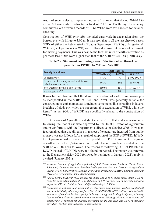Audit of seven selected implementing units<sup>103</sup> showed that during 2014-15 to 2017-18 those units constructed a total of 2,170 WHSs through beneficiary committees, out of which records of 1,664 WHSs were test checked for detailed checking.

Construction of WHS *inter alia* included earthwork in excavation from the borrow pits with lift up to 3.00 m. It was seen that in all the test checked cases, SORs of either the Public Works (Roads) Department (PWRD) or Irrigation & Waterways Department (I&WD) were followed to arrive at the rate of earthwork for making payments. This was despite the fact that rates of earth excavation as per these two SORs were higher than that of the SOR of WRIDD **(Table 2.9).**

**Description of item** <br>**PWD** (Roads) | 1&WD | **PWD (Roads) I&WD WRIDD**  In ordinary soil 89.90 77 54.02-60.35 In mixed soil *(i.e*. clay mixed with kankar, pebbles, moorum *etc*.) 99.90 102 60-69.78 Soft weathered rocked/ soft laterite 119.90 151 73-123.89 Extra Lead/  $lift^{104}$  10 10 Nil Nil Nil Nil

**Table 2.9: Statement comparing rates of the item of earthwork as**  provided in PWRD, I&WD and WRIDD

It was further observed that the item of excavation of earth from borrow pits as incorporated in the SORs of PWD and I&WD was generally suitable for construction of embankment as it includes some items like spreading in layers, breaking of clods *etc*. which are not essential in excavation of WHS, while the items105 as per SOR of WRIDD are specifically related to the construction of WHSs.

The Directorate of Agriculture stated (December 2019) that works were executed following the model estimate approved by the Joint Director of Agriculture and in conformity with the Department's directive of October 2008. However, fact remained that due diligence in respect of expenditure incurred from public moneys was not followed. As a result of adoption of the SOR of PWRD/ I&WD, the Department had to bear an extra expenditure of  $\bar{\tau}$  5.79 crore on the payment of earthwork for the 1,664 number WHS, which could have been avoided had the SOR of WRIDD been followed. The reasons for following SOR of PWRD and I&WD instead of WRIDD were not found on record. The matter was referred to the Department (May 2020 followed by reminder in January 2021), reply is awaited (January 2021).

<sup>103</sup> *Assistant Director of Agriculture (Admn) of Soil Conservation, Bankura, Cooch Behar, Jalpaiguri, Diamond Harbour, Paschim Medinipur and Assistant Director of Agriculture (Admn) of Soil Conservation, Draught Prone Area Programme (DPAP), Bankura. Assistant Director of Agriculture (Admn), Raghunathpur.*

<sup>104</sup> *Rate as per the SOR of PWRD, includes the initial lead up to 50 m and initial lift up to 1.5 m. Extra for every additional lift of 1.5 m at the rate of* ` *10 per cum. Rate of excavation of earth as per the SOR of WRIDD includes all lifts and lead upto 1,500 m.*

<sup>105</sup> *Excavation in ordinary soil/ mixed soil i.e. clay mixed with moorun , kankar, pebbles/ silt dry or moist/ slushy silt/ sticky soil for WDS/ WHS/ RESERVOIR/ SFMIS etc. with hydraulic excavator of required bucket capacity including cutting and loading in tippers, trimming*  bottom and side slopes in accordance with requirement of lines, grades and cross section and *transporting to embankment/ disposal site within all lifts and lead upto 1,500 m including spreading , leveling disposed spoils at disposed area.*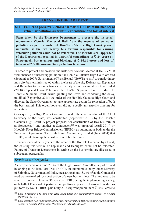## **TRANSPORT DEPARTMENT**

## **2.11 Failure to preserve Victoria Memorial Hall from the menace of vehicular pollution-unfruitful expenditure and loss of interest**

**Steps taken by the Transport Department to preserve the historical monument- Victoria Memorial Hall from the menace of vehicular pollution as per the order of Hon'ble Calcutta High Court proved unfruitful as the two nearby bus termini responsible for causing vehicular pollution could not be relocated. The lackadaisical approach**  of the Department resulted in unfruitful expenditure of  $\bar{\tau}$  24 crore on Santragachi bus terminus and blockage of  $\bar{z}$  10.61 crore and loss of interest of  $\bar{\tau}$  3.18 crore on Goragacha bus terminus.

In order to protect and preserve the historical Victoria Memorial Hall (VMH) from menace of increasing pollution, the Hon'ble Calcutta High Court ordered (September 2007) Government of West Bengal (GoWB) to shift two major inter/ intra city bus termini situated within the heart of the city Kolkata *viz*. Esplanade and Babughat to the outer fringes of the city within six months. GoWB, filed (2008) a Special Leave Petition in the Hon'ble Supreme Court of India. The Hon'ble Supreme Court, while granting the leave and condoning the delay, modified (September 2011) the order of the Hon'ble Calcutta High Court and directed the State Government to take appropriate action for relocation of both the bus termini. This order, however, did not specify any specific timeline for relocation.

Consequently, a High Power Committee, under the chairmanship of the Chief Secretary of the State, was constituted (September 2013) by the Hon'ble Calcutta High Court. A project proposal for construction of two bus termini at Goragacha<sup>106</sup> and another at Santragachi<sup>107</sup> was prepared (April 2014) by Hooghly River Bridge Commissioners (HRBC), an autonomous body under the Transport Department. The High Power Committee, decided (June 2014) that HRBC, would take up the construction of bus terminus.

However, even after 12 years of the order of the Hon'ble Calcutta High Court, the existing bus termini of Esplanade and Babughat could not be relocated. Failure of Transport Department in setting up the bus termini are discussed in subsequent paragraphs:

#### *Terminus at Goragacha*

As per the decision (June 2014) of the High Power Committee, a plot of land belonging to Kolkata Port Trust (KoPT), an autonomous body under Ministry of Shipping, Government of India, measuring about 18,360 m2 at old Goragacha road was earmarked for construction of a new bus terminus. The land was to be taken on long-term lease of 30 years by HRBC, being the implementing agency, on behalf of Transport Department, subject to acceptance of terms and conditions put forth by KoPT. HRBC paid (July 2014) upfront premium of  $\bar{\bar{\xi}}$  10.61 crore to

<sup>106</sup> *Land measuring 4.53 acre near Hide Road under the administrative control of Kolkata PortTrust (KoPT).*

<sup>107</sup> *Land measuring 12.78 acre near Santragachi railway station, Howrah under the administrative control of Kolkata Metropolitan Development Authority (KMDA).*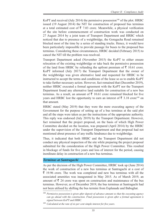KoPT and received (July 2014) the permissive possession<sup>108</sup> of the plot. HRBC issued (19 August 2014) the NIT for construction of proposed bus terminus at a total estimated cost of  $\bar{\tau}$  7.03 crore. Meanwhile, a physical verification of the site before commencement of construction work was conducted on 27 August 2014 by a joint team of Transport Department and HRBC which noticed that due to presence of a weighbridge, the Goragacha Road remained blocked most of the time by a series of standing trucks. Hence, it would have been particularly impossible to provide passage for buses to the proposed bus terminus. Considering these circumstances, HRBC decided (February 2015) to cancel the NIT till the problem was resolved.

Transport Department asked (November 2015) the KoPT to either ensure relocation of the existing weighbridge or take back the permissive possession of the land from HRBC by refunding the upfront premium of  $\bar{\tau}$  10.61 crore. KoPT informed (July 2017) the Transport Department that the owner of the weighbridge was given alternative land and requested for HRBC to be instructed to accept the terms and conditions of the lease so as to enable KoPT to take further necessary action. However, fact remained that (December 2019), neither HRBC executed a formal agreement with the KoPT nor the Transport Department found any alternative land suitable for construction of a new bus terminus. As a result, an amount of  $\bar{\tau}$  10.61 crore remained blocked for five years and HRBC lost the opportunity to earn an interest of  $\bar{\xi}$  3.18 crore<sup>109</sup> on that amount.

HRBC stated (May 2019) that they were the mere executing agency of the Government for the purpose of setting up of a bus terminus at the said plot and all the steps were taken as per the instructions of the appropriate authority. This reply was endorsed (July 2019) by the Transport Department. However, fact remained that the project proposal, on the basis of which High Power Committee decided on the location, was prepared (April 2014) by the HRBC under the supervision of the Transport Department and that proposal had not mentioned about presence of any traffic hindrance due to weighbridge.

Thus, it indicated that both HRBC and the Transport Department did not conduct any physical inspection of the site while preparing the project proposal submitted for the consideration of the High Power Committee. This resulted in blockage of funds for five years and loss of interest for the period, causing inordinate delay in construction of a new bus terminus.

#### *Terminus at Santragachi*

As per the decision of the High Power Committee, HRBC took up (June 2014) the work of construction of a new bus terminus at Santragachi at a cost of  $\bar{\tau}$  19.96 crore. The work was completed and new bus terminus with all the associated amenities was inaugurated in May 2015. As of March 2019, an amount of  $\bar{\tau}$  24 crore was spent on construction and maintenance of the bus terminus. However, as of December 2019, the bus terminus at Santragachi had not been utilised by shifting the bus termini from Esplanade and Babughat.

<sup>108</sup> *Permissive possession is given after deposit of advance amount so that the executing agency can go ahead with the construction. Final possession is given after a formal agreement is signed between KoPT and HRBC.*

<sup>109</sup> *Calculated at the rate of six per cent simple interest for five years.*